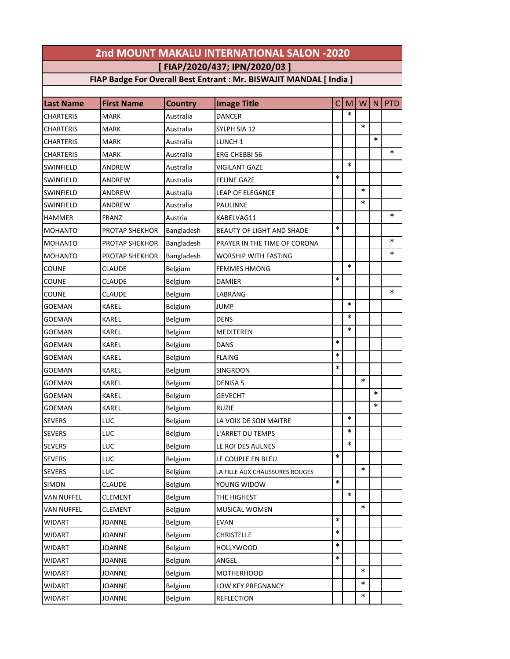| 2nd MOUNT MAKALU INTERNATIONAL SALON -2020 |                   |                |                                                                     |        |        |        |        |            |  |
|--------------------------------------------|-------------------|----------------|---------------------------------------------------------------------|--------|--------|--------|--------|------------|--|
| [FIAP/2020/437; IPN/2020/03]               |                   |                |                                                                     |        |        |        |        |            |  |
|                                            |                   |                | FIAP Badge For Overall Best Entrant : Mr. BISWAJIT MANDAL [ India ] |        |        |        |        |            |  |
|                                            |                   |                |                                                                     |        |        |        |        |            |  |
| <b>Last Name</b>                           | <b>First Name</b> | <b>Country</b> | <b>Image Title</b>                                                  | C      | M      | W      | N      | <b>PTD</b> |  |
| CHARTERIS                                  | <b>MARK</b>       | Australia      | <b>DANCER</b>                                                       |        | $\ast$ |        |        |            |  |
| CHARTERIS                                  | <b>MARK</b>       | Australia      | SYLPH SIA 12                                                        |        |        | *      |        |            |  |
| CHARTERIS                                  | <b>MARK</b>       | Australia      | LUNCH <sub>1</sub>                                                  |        |        |        | $\ast$ |            |  |
| CHARTERIS                                  | <b>MARK</b>       | Australia      | <b>ERG CHEBBI 56</b>                                                |        |        |        |        | ∗          |  |
| SWINFIELD                                  | ANDREW            | Australia      | <b>VIGILANT GAZE</b>                                                |        | $\ast$ |        |        |            |  |
| SWINFIELD                                  | ANDREW            | Australia      | <b>FELINE GAZE</b>                                                  | $\ast$ |        |        |        |            |  |
| SWINFIELD                                  | ANDREW            | Australia      | <b>LEAP OF ELEGANCE</b>                                             |        |        | *      |        |            |  |
| SWINFIELD                                  | ANDREW            | Australia      | <b>PAULINNE</b>                                                     |        |        | *      |        |            |  |
| <b>HAMMER</b>                              | <b>FRANZ</b>      | Austria        | KABELVAG11                                                          |        |        |        |        | $\ast$     |  |
| <b>MOHANTO</b>                             | PROTAP SHEKHOR    | Bangladesh     | BEAUTY OF LIGHT AND SHADE                                           | *      |        |        |        |            |  |
| <b>MOHANTO</b>                             | PROTAP SHEKHOR    | Bangladesh     | PRAYER IN THE TIME OF CORONA                                        |        |        |        |        | ∗          |  |
| <b>MOHANTO</b>                             | PROTAP SHEKHOR    | Bangladesh     | WORSHIP WITH FASTING                                                |        |        |        |        | $\ast$     |  |
| COUNE                                      | <b>CLAUDE</b>     | Belgium        | <b>FEMMES HMONG</b>                                                 |        | $\ast$ |        |        |            |  |
| COUNE                                      | <b>CLAUDE</b>     | Belgium        | <b>DAMIER</b>                                                       | *      |        |        |        |            |  |
| COUNE                                      | <b>CLAUDE</b>     | Belgium        | LABRANG                                                             |        |        |        |        | $\ast$     |  |
| GOEMAN                                     | KAREL             | Belgium        | <b>JUMP</b>                                                         |        | $\ast$ |        |        |            |  |
| GOEMAN                                     | KAREL             | Belgium        | <b>DENS</b>                                                         |        | $\ast$ |        |        |            |  |
| GOEMAN                                     | KAREL             | Belgium        | MEDITEREN                                                           |        | $\ast$ |        |        |            |  |
| GOEMAN                                     | KAREL             | Belgium        | <b>DANS</b>                                                         | *      |        |        |        |            |  |
| GOEMAN                                     | KAREL             | Belgium        | <b>FLAING</b>                                                       | *      |        |        |        |            |  |
| GOEMAN                                     | KAREL             | Belgium        | <b>SINGROON</b>                                                     | *      |        |        |        |            |  |
| GOEMAN                                     | KAREL             | Belgium        | <b>DENISA 5</b>                                                     |        |        | $\ast$ |        |            |  |
| GOEMAN                                     | KAREL             | Belgium        | <b>GEVECHT</b>                                                      |        |        |        | $\ast$ |            |  |
| GOEMAN                                     | KAREL             | Belgium        | <b>RUZIE</b>                                                        |        |        |        | $\ast$ |            |  |
| <b>SEVERS</b>                              | LUC               | Belgium        | LA VOIX DE SON MAITRE                                               |        | ∗      |        |        |            |  |
| <b>SEVERS</b>                              | LUC               | Belgium        | L'ARRET DU TEMPS                                                    |        | $\ast$ |        |        |            |  |
| <b>SEVERS</b>                              | LUC               | Belgium        | LE ROI DES AULNES                                                   |        | $\ast$ |        |        |            |  |
| <b>SEVERS</b>                              | LUC               | Belgium        | LE COUPLE EN BLEU                                                   | *      |        |        |        |            |  |
| <b>SEVERS</b>                              | LUC               | Belgium        | LA FILLE AUX CHAUSSURES ROUGES                                      |        |        | ∗      |        |            |  |
| SIMON                                      | <b>CLAUDE</b>     | Belgium        | YOUNG WIDOW                                                         | $\ast$ |        |        |        |            |  |
| VAN NUFFEL                                 | <b>CLEMENT</b>    | Belgium        | THE HIGHEST                                                         |        | $\ast$ |        |        |            |  |
| VAN NUFFEL                                 | <b>CLEMENT</b>    | Belgium        | MUSICAL WOMEN                                                       |        |        | *      |        |            |  |
| <b>WIDART</b>                              | <b>JOANNE</b>     | Belgium        | <b>EVAN</b>                                                         | *      |        |        |        |            |  |
| <b>WIDART</b>                              | <b>JOANNE</b>     | Belgium        | <b>CHRISTELLE</b>                                                   | *      |        |        |        |            |  |
| WIDART                                     | <b>JOANNE</b>     | Belgium        | <b>HOLLYWOOD</b>                                                    | *      |        |        |        |            |  |
| WIDART                                     | <b>JOANNE</b>     | Belgium        | ANGEL                                                               | $\ast$ |        |        |        |            |  |
| WIDART                                     | <b>JOANNE</b>     | Belgium        | <b>MOTHERHOOD</b>                                                   |        |        | $\ast$ |        |            |  |
| WIDART                                     | <b>JOANNE</b>     | Belgium        | LOW KEY PREGNANCY                                                   |        |        | *      |        |            |  |
| WIDART                                     | <b>JOANNE</b>     | Belgium        | <b>REFLECTION</b>                                                   |        |        | *      |        |            |  |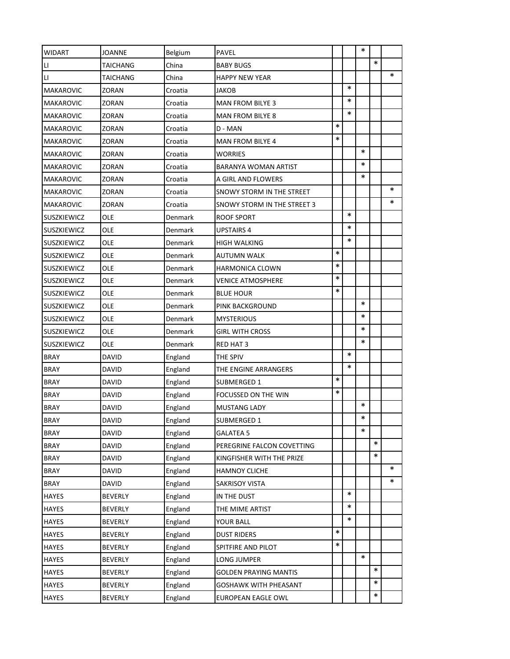| WIDART                 | <b>JOANNE</b>   | Belgium | PAVEL                        |        |        | $\ast$ |        |        |
|------------------------|-----------------|---------|------------------------------|--------|--------|--------|--------|--------|
| $\mathsf{L}\mathsf{I}$ | TAICHANG        | China   | <b>BABY BUGS</b>             |        |        |        | $\ast$ |        |
| П                      | <b>TAICHANG</b> | China   | <b>HAPPY NEW YEAR</b>        |        |        |        |        | $\ast$ |
| MAKAROVIC              | ZORAN           | Croatia | JAKOB                        |        | $\ast$ |        |        |        |
| <b>MAKAROVIC</b>       | ZORAN           | Croatia | <b>MAN FROM BILYE 3</b>      |        | $\ast$ |        |        |        |
| <b>MAKAROVIC</b>       | ZORAN           | Croatia | <b>MAN FROM BILYE 8</b>      |        | $\ast$ |        |        |        |
| <b>MAKAROVIC</b>       | ZORAN           | Croatia | D - MAN                      | *      |        |        |        |        |
| <b>MAKAROVIC</b>       | ZORAN           | Croatia | <b>MAN FROM BILYE 4</b>      | $\ast$ |        |        |        |        |
| <b>MAKAROVIC</b>       | ZORAN           | Croatia | WORRIES                      |        |        | $\ast$ |        |        |
| <b>MAKAROVIC</b>       | ZORAN           | Croatia | BARANYA WOMAN ARTIST         |        |        | $\ast$ |        |        |
| <b>MAKAROVIC</b>       | ZORAN           | Croatia | A GIRL AND FLOWERS           |        |        | $\ast$ |        |        |
| <b>MAKAROVIC</b>       | ZORAN           | Croatia | SNOWY STORM IN THE STREET    |        |        |        |        | $\ast$ |
| <b>MAKAROVIC</b>       | ZORAN           | Croatia | SNOWY STORM IN THE STREET 3  |        |        |        |        | *      |
| <b>SUSZKIEWICZ</b>     | <b>OLE</b>      | Denmark | <b>ROOF SPORT</b>            |        | $\ast$ |        |        |        |
| <b>SUSZKIEWICZ</b>     | OLE             | Denmark | UPSTAIRS 4                   |        | $\ast$ |        |        |        |
| <b>SUSZKIEWICZ</b>     | OLE             | Denmark | HIGH WALKING                 |        | $\ast$ |        |        |        |
| <b>SUSZKIEWICZ</b>     | OLE             | Denmark | AUTUMN WALK                  | $\ast$ |        |        |        |        |
| <b>SUSZKIEWICZ</b>     | OLE             | Denmark | HARMONICA CLOWN              | $\ast$ |        |        |        |        |
| <b>SUSZKIEWICZ</b>     | OLE             | Denmark | <b>VENICE ATMOSPHERE</b>     | $\ast$ |        |        |        |        |
| <b>SUSZKIEWICZ</b>     | OLE             | Denmark | <b>BLUE HOUR</b>             | $\ast$ |        |        |        |        |
| <b>SUSZKIEWICZ</b>     | OLE             | Denmark | PINK BACKGROUND              |        |        | $\ast$ |        |        |
| <b>SUSZKIEWICZ</b>     | OLE             | Denmark | MYSTERIOUS                   |        |        | *      |        |        |
| <b>SUSZKIEWICZ</b>     | OLE             | Denmark | <b>GIRL WITH CROSS</b>       |        |        | $\ast$ |        |        |
| SUSZKIEWICZ            | OLE             | Denmark | RED HAT 3                    |        |        | ∗      |        |        |
| <b>BRAY</b>            | DAVID           | England | THE SPIV                     |        | $\ast$ |        |        |        |
| <b>BRAY</b>            | <b>DAVID</b>    | England | THE ENGINE ARRANGERS         |        | $\ast$ |        |        |        |
| <b>BRAY</b>            | DAVID           | England | SUBMERGED 1                  | *      |        |        |        |        |
| <b>BRAY</b>            | <b>DAVID</b>    | England | FOCUSSED ON THE WIN          | $\ast$ |        |        |        |        |
| <b>BRAY</b>            | <b>DAVID</b>    | England | <b>MUSTANG LADY</b>          |        |        | $\ast$ |        |        |
| BRAY                   | DAVID           | England | SUBMERGED 1                  |        |        | $\ast$ |        |        |
| <b>BRAY</b>            | <b>DAVID</b>    | England | <b>GALATEA 5</b>             |        |        | $\ast$ |        |        |
| <b>BRAY</b>            | DAVID           | England | PEREGRINE FALCON COVETTING   |        |        |        | *      |        |
| <b>BRAY</b>            | <b>DAVID</b>    | England | KINGFISHER WITH THE PRIZE    |        |        |        | $\ast$ |        |
| <b>BRAY</b>            | DAVID           | England | HAMNOY CLICHE                |        |        |        |        | *      |
| <b>BRAY</b>            | DAVID           | England | <b>SAKRISOY VISTA</b>        |        |        |        |        | $\ast$ |
| <b>HAYES</b>           | <b>BEVERLY</b>  | England | IN THE DUST                  |        | $\ast$ |        |        |        |
| <b>HAYES</b>           | <b>BEVERLY</b>  | England | THE MIME ARTIST              |        | $\ast$ |        |        |        |
| <b>HAYES</b>           | <b>BEVERLY</b>  | England | YOUR BALL                    |        | $\ast$ |        |        |        |
| <b>HAYES</b>           | <b>BEVERLY</b>  | England | <b>DUST RIDERS</b>           | $\ast$ |        |        |        |        |
| <b>HAYES</b>           | <b>BEVERLY</b>  | England | SPITFIRE AND PILOT           | $\ast$ |        |        |        |        |
| <b>HAYES</b>           | <b>BEVERLY</b>  | England | LONG JUMPER                  |        |        | $\ast$ |        |        |
| <b>HAYES</b>           | <b>BEVERLY</b>  | England | <b>GOLDEN PRAYING MANTIS</b> |        |        |        | *      |        |
| <b>HAYES</b>           | <b>BEVERLY</b>  | England | GOSHAWK WITH PHEASANT        |        |        |        | $\ast$ |        |
| <b>HAYES</b>           | <b>BEVERLY</b>  | England | EUROPEAN EAGLE OWL           |        |        |        | $\ast$ |        |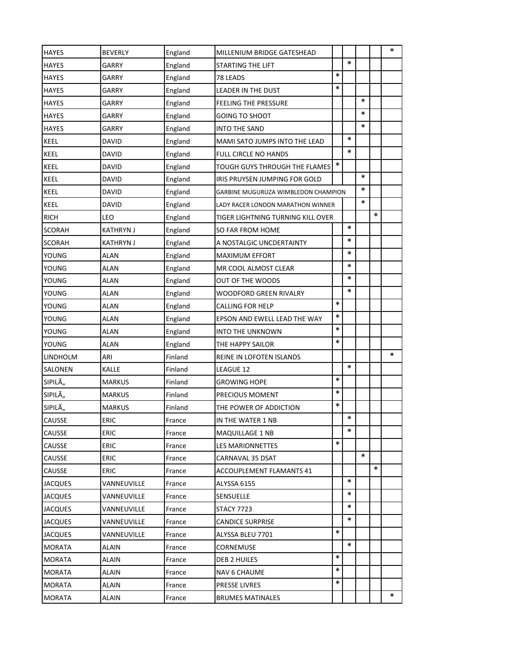| <b>HAYES</b>   | <b>BEVERLY</b>   | England | MILLENIUM BRIDGE GATESHEAD          |        |        |        |        | ∗      |
|----------------|------------------|---------|-------------------------------------|--------|--------|--------|--------|--------|
| <b>HAYES</b>   | GARRY            | England | STARTING THE LIFT                   |        | $\ast$ |        |        |        |
| <b>HAYES</b>   | GARRY            | England | 78 LEADS                            | $\ast$ |        |        |        |        |
| <b>HAYES</b>   | GARRY            | England | LEADER IN THE DUST                  | *      |        |        |        |        |
| <b>HAYES</b>   | GARRY            | England | <b>FEELING THE PRESSURE</b>         |        |        | $\ast$ |        |        |
| <b>HAYES</b>   | GARRY            | England | <b>GOING TO SHOOT</b>               |        |        | ∗      |        |        |
| <b>HAYES</b>   | GARRY            | England | <b>INTO THE SAND</b>                |        |        | ∗      |        |        |
| KEEL           | DAVID            | England | MAMI SATO JUMPS INTO THE LEAD       |        | $\ast$ |        |        |        |
| <b>KEEL</b>    | <b>DAVID</b>     | England | FULL CIRCLE NO HANDS                |        | $\ast$ |        |        |        |
| KEEL           | DAVID            | England | TOUGH GUYS THROUGH THE FLAMES       | $\ast$ |        |        |        |        |
| KEEL           | DAVID            | England | IRIS PRUYSEN JUMPING FOR GOLD       |        |        | *      |        |        |
| KEEL           | <b>DAVID</b>     | England | GARBINE MUGURUZA WIMBLEDON CHAMPION |        |        | $\ast$ |        |        |
| KEEL           | <b>DAVID</b>     | England | LADY RACER LONDON MARATHON WINNER   |        |        | ∗      |        |        |
| <b>RICH</b>    | LEO              | England | TIGER LIGHTNING TURNING KILL OVER   |        |        |        | $\ast$ |        |
| SCORAH         | <b>KATHRYN J</b> | England | SO FAR FROM HOME                    |        | $\ast$ |        |        |        |
| SCORAH         | <b>KATHRYN J</b> | England | A NOSTALGIC UNCDERTAINTY            |        | ∗      |        |        |        |
| YOUNG          | ALAN             | England | <b>MAXIMUM EFFORT</b>               |        | $\ast$ |        |        |        |
| YOUNG          | <b>ALAN</b>      | England | MR COOL ALMOST CLEAR                |        | *      |        |        |        |
| YOUNG          | ALAN             | England | OUT OF THE WOODS                    |        | $\ast$ |        |        |        |
| YOUNG          | ALAN             | England | WOODFORD GREEN RIVALRY              |        | $\ast$ |        |        |        |
| YOUNG          | ALAN             | England | <b>CALLING FOR HELP</b>             | $\ast$ |        |        |        |        |
| YOUNG          | ALAN             | England | EPSON AND EWELL LEAD THE WAY        | $\ast$ |        |        |        |        |
| YOUNG          | <b>ALAN</b>      | England | INTO THE UNKNOWN                    | $\ast$ |        |        |        |        |
| YOUNG          | ALAN             | England | THE HAPPY SAILOR                    | $\ast$ |        |        |        |        |
| LINDHOLM       | ARI              | Finland | REINE IN LOFOTEN ISLANDS            |        |        |        |        | $\ast$ |
| SALONEN        | KALLE            | Finland | LEAGUE 12                           |        | $\ast$ |        |        |        |
| SIPILÄ         | <b>MARKUS</b>    | Finland | <b>GROWING HOPE</b>                 | $\ast$ |        |        |        |        |
| SIPILÄ         | <b>MARKUS</b>    | Finland | PRECIOUS MOMENT                     | *      |        |        |        |        |
| SIPILÄ         | <b>MARKUS</b>    | Finland | THE POWER OF ADDICTION              | $\ast$ |        |        |        |        |
| CAUSSE         | ERIC             | France  | IN THE WATER 1 NB                   |        | $\ast$ |        |        |        |
| CAUSSE         | <b>ERIC</b>      | France  | <b>MAQUILLAGE 1 NB</b>              |        | *      |        |        |        |
| CAUSSE         | <b>ERIC</b>      | France  | LES MARIONNETTES                    | $\ast$ |        |        |        |        |
| CAUSSE         | ERIC             | France  | CARNAVAL 35 DSAT                    |        |        | *      |        |        |
| CAUSSE         | ERIC             | France  | <b>ACCOUPLEMENT FLAMANTS 41</b>     |        |        |        | $\ast$ |        |
| <b>JACQUES</b> | VANNEUVILLE      | France  | ALYSSA 6155                         |        | $\ast$ |        |        |        |
| <b>JACQUES</b> | VANNEUVILLE      | France  | <b>SENSUELLE</b>                    |        | *      |        |        |        |
| <b>JACQUES</b> | VANNEUVILLE      | France  | STACY 7723                          |        | *      |        |        |        |
| <b>JACQUES</b> | VANNEUVILLE      | France  | <b>CANDICE SURPRISE</b>             |        | *      |        |        |        |
| <b>JACQUES</b> | VANNEUVILLE      | France  | ALYSSA BLEU 7701                    | *      |        |        |        |        |
| <b>MORATA</b>  | ALAIN            | France  | CORNEMUSE                           |        | $\ast$ |        |        |        |
| MORATA         | ALAIN            | France  | DEB 2 HUILES                        | $\ast$ |        |        |        |        |
| <b>MORATA</b>  | ALAIN            | France  | NAV 6 CHAUME                        | *      |        |        |        |        |
| MORATA         | ALAIN            | France  | PRESSE LIVRES                       | *      |        |        |        |        |
| MORATA         | ALAIN            | France  | <b>BRUMES MATINALES</b>             |        |        |        |        | ∗      |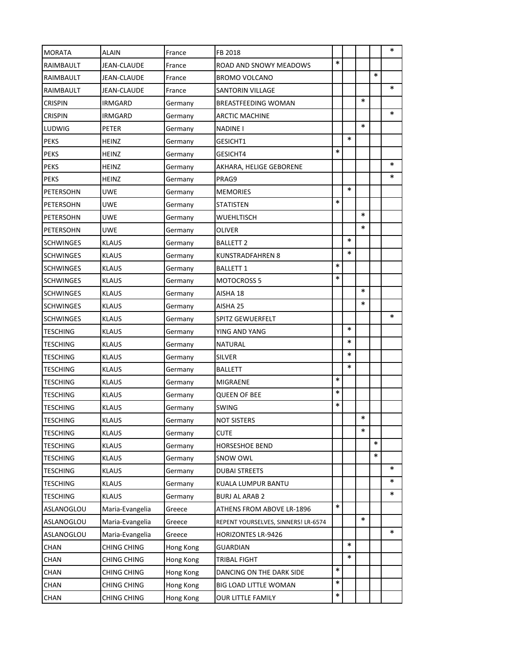| <b>MORATA</b>    | <b>ALAIN</b>       | France    | FB 2018                             |        |        |        |        | $\ast$ |
|------------------|--------------------|-----------|-------------------------------------|--------|--------|--------|--------|--------|
| RAIMBAULT        | JEAN-CLAUDE        | France    | ROAD AND SNOWY MEADOWS              | $\ast$ |        |        |        |        |
| RAIMBAULT        | <b>JEAN-CLAUDE</b> | France    | <b>BROMO VOLCANO</b>                |        |        |        | $\ast$ |        |
| RAIMBAULT        | JEAN-CLAUDE        | France    | <b>SANTORIN VILLAGE</b>             |        |        |        |        | $\ast$ |
| <b>CRISPIN</b>   | <b>IRMGARD</b>     | Germany   | BREASTFEEDING WOMAN                 |        |        | $\ast$ |        |        |
| <b>CRISPIN</b>   | <b>IRMGARD</b>     | Germany   | ARCTIC MACHINE                      |        |        |        |        | ∗      |
| LUDWIG           | <b>PETER</b>       | Germany   | <b>NADINE I</b>                     |        |        | $\ast$ |        |        |
| <b>PEKS</b>      | HEINZ              | Germany   | <b>GESICHT1</b>                     |        | $\ast$ |        |        |        |
| <b>PEKS</b>      | HEINZ              | Germany   | GESICHT4                            | $\ast$ |        |        |        |        |
| <b>PEKS</b>      | HEINZ              | Germany   | AKHARA, HELIGE GEBORENE             |        |        |        |        | *      |
| <b>PEKS</b>      | <b>HEINZ</b>       | Germany   | PRAG9                               |        |        |        |        | *      |
| PETERSOHN        | <b>UWE</b>         | Germany   | <b>MEMORIES</b>                     |        | $\ast$ |        |        |        |
| PETERSOHN        | <b>UWE</b>         | Germany   | STATISTEN                           | $\ast$ |        |        |        |        |
| PETERSOHN        | <b>UWE</b>         | Germany   | <b>WUEHLTISCH</b>                   |        |        | $\ast$ |        |        |
| PETERSOHN        | <b>UWE</b>         | Germany   | OLIVER                              |        |        | $\ast$ |        |        |
| <b>SCHWINGES</b> | <b>KLAUS</b>       | Germany   | <b>BALLETT 2</b>                    |        | $\ast$ |        |        |        |
| <b>SCHWINGES</b> | <b>KLAUS</b>       | Germany   | KUNSTRADFAHREN 8                    |        | $\ast$ |        |        |        |
| <b>SCHWINGES</b> | <b>KLAUS</b>       | Germany   | <b>BALLETT 1</b>                    | *      |        |        |        |        |
| <b>SCHWINGES</b> | <b>KLAUS</b>       | Germany   | <b>MOTOCROSS 5</b>                  | *      |        |        |        |        |
| <b>SCHWINGES</b> | <b>KLAUS</b>       | Germany   | AISHA 18                            |        |        | $\ast$ |        |        |
| <b>SCHWINGES</b> | KLAUS              | Germany   | AISHA 25                            |        |        | $\ast$ |        |        |
| <b>SCHWINGES</b> | <b>KLAUS</b>       | Germany   | SPITZ GEWUERFELT                    |        |        |        |        | $\ast$ |
| <b>TESCHING</b>  | <b>KLAUS</b>       | Germany   | YING AND YANG                       |        | $\ast$ |        |        |        |
| TESCHING         | <b>KLAUS</b>       | Germany   | NATURAL                             |        | $\ast$ |        |        |        |
| <b>TESCHING</b>  | <b>KLAUS</b>       | Germany   | <b>SILVER</b>                       |        | ∗      |        |        |        |
| <b>TESCHING</b>  | <b>KLAUS</b>       | Germany   | BALLETT                             |        | $\ast$ |        |        |        |
| <b>TESCHING</b>  | <b>KLAUS</b>       | Germany   | MIGRAENE                            | $\ast$ |        |        |        |        |
| TESCHING         | <b>KLAUS</b>       | Germany   | <b>QUEEN OF BEE</b>                 | $\ast$ |        |        |        |        |
| <b>TESCHING</b>  | <b>KLAUS</b>       | Germany   | <b>SWING</b>                        | $\ast$ |        |        |        |        |
| TESCHING         | <b>KLAUS</b>       | Germany   | NOT SISTERS                         |        |        | $\ast$ |        |        |
| <b>TESCHING</b>  | <b>KLAUS</b>       | Germany   | <b>CUTE</b>                         |        |        | *      |        |        |
| TESCHING         | <b>KLAUS</b>       | Germany   | <b>HORSESHOE BEND</b>               |        |        |        | *      |        |
| TESCHING         | <b>KLAUS</b>       | Germany   | SNOW OWL                            |        |        |        | $\ast$ |        |
| <b>TESCHING</b>  | <b>KLAUS</b>       | Germany   | DUBAI STREETS                       |        |        |        |        | ∗      |
| <b>TESCHING</b>  | <b>KLAUS</b>       | Germany   | KUALA LUMPUR BANTU                  |        |        |        |        | *      |
| <b>TESCHING</b>  | <b>KLAUS</b>       | Germany   | BURJ AL ARAB 2                      |        |        |        |        | ∗      |
| ASLANOGLOU       | Maria-Evangelia    | Greece    | ATHENS FROM ABOVE LR-1896           | $\ast$ |        |        |        |        |
| ASLANOGLOU       | Maria-Evangelia    | Greece    | REPENT YOURSELVES, SINNERS! LR-6574 |        |        | *      |        |        |
| ASLANOGLOU       | Maria-Evangelia    | Greece    | <b>HORIZONTES LR-9426</b>           |        |        |        |        | $\ast$ |
| CHAN             | <b>CHING CHING</b> | Hong Kong | <b>GUARDIAN</b>                     |        | $\ast$ |        |        |        |
| <b>CHAN</b>      | <b>CHING CHING</b> | Hong Kong | TRIBAL FIGHT                        |        | $\ast$ |        |        |        |
| <b>CHAN</b>      | <b>CHING CHING</b> | Hong Kong | DANCING ON THE DARK SIDE            | *      |        |        |        |        |
| CHAN             | <b>CHING CHING</b> | Hong Kong | BIG LOAD LITTLE WOMAN               | *      |        |        |        |        |
| CHAN             | <b>CHING CHING</b> | Hong Kong | OUR LITTLE FAMILY                   | $\ast$ |        |        |        |        |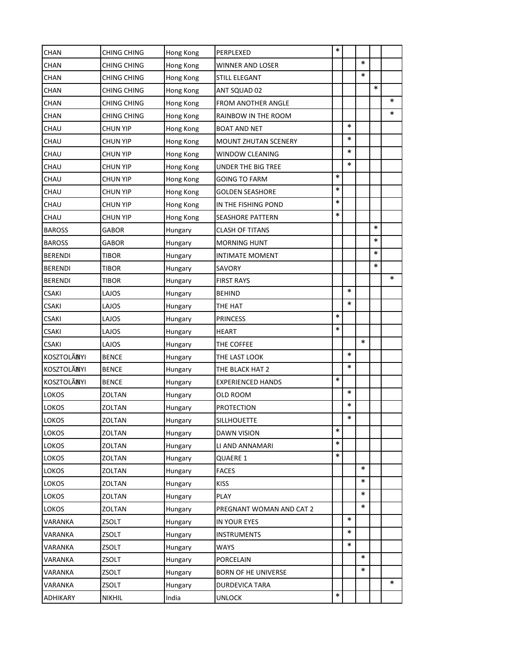| <b>CHAN</b>    | <b>CHING CHING</b> | Hong Kong | PERPLEXED                  | $\ast$ |        |        |        |   |
|----------------|--------------------|-----------|----------------------------|--------|--------|--------|--------|---|
| CHAN           | CHING CHING        | Hong Kong | WINNER AND LOSER           |        |        | $\ast$ |        |   |
| CHAN           | <b>CHING CHING</b> | Hong Kong | <b>STILL ELEGANT</b>       |        |        | $\ast$ |        |   |
| CHAN           | CHING CHING        | Hong Kong | ANT SQUAD 02               |        |        |        | $\ast$ |   |
| <b>CHAN</b>    | <b>CHING CHING</b> | Hong Kong | FROM ANOTHER ANGLE         |        |        |        |        | ∗ |
| CHAN           | CHING CHING        | Hong Kong | RAINBOW IN THE ROOM        |        |        |        |        | ∗ |
| CHAU           | CHUN YIP           | Hong Kong | <b>BOAT AND NET</b>        |        | $\ast$ |        |        |   |
| CHAU           | CHUN YIP           | Hong Kong | MOUNT ZHUTAN SCENERY       |        | *      |        |        |   |
| CHAU           | CHUN YIP           | Hong Kong | <b>WINDOW CLEANING</b>     |        | $\ast$ |        |        |   |
| CHAU           | CHUN YIP           | Hong Kong | UNDER THE BIG TREE         |        | $\ast$ |        |        |   |
| CHAU           | CHUN YIP           | Hong Kong | <b>GOING TO FARM</b>       | $\ast$ |        |        |        |   |
| CHAU           | CHUN YIP           | Hong Kong | <b>GOLDEN SEASHORE</b>     | $\ast$ |        |        |        |   |
| <b>CHAU</b>    | <b>CHUN YIP</b>    | Hong Kong | IN THE FISHING POND        | $\ast$ |        |        |        |   |
| CHAU           | <b>CHUN YIP</b>    | Hong Kong | <b>SEASHORE PATTERN</b>    | $\ast$ |        |        |        |   |
| <b>BAROSS</b>  | GABOR              | Hungary   | <b>CLASH OF TITANS</b>     |        |        |        | $\ast$ |   |
| <b>BAROSS</b>  | <b>GABOR</b>       | Hungary   | <b>MORNING HUNT</b>        |        |        |        | $\ast$ |   |
| <b>BERENDI</b> | TIBOR              | Hungary   | INTIMATE MOMENT            |        |        |        | $\ast$ |   |
| <b>BERENDI</b> | TIBOR              | Hungary   | SAVORY                     |        |        |        | $\ast$ |   |
| <b>BERENDI</b> | TIBOR              | Hungary   | <b>FIRST RAYS</b>          |        |        |        |        | ∗ |
| <b>CSAKI</b>   | LAJOS              | Hungary   | <b>BEHIND</b>              |        | *      |        |        |   |
| CSAKI          | LAJOS              | Hungary   | THE HAT                    |        | $\ast$ |        |        |   |
| CSAKI          | LAJOS              | Hungary   | PRINCESS                   | $\ast$ |        |        |        |   |
| <b>CSAKI</b>   | LAJOS              | Hungary   | HEART                      | $\ast$ |        |        |        |   |
| <b>CSAKI</b>   | LAJOS              | Hungary   | THE COFFEE                 |        |        | $\ast$ |        |   |
| KOSZTOLÃNYI    | <b>BENCE</b>       | Hungary   | THE LAST LOOK              |        | $\ast$ |        |        |   |
| KOSZTOLÃNYI    | <b>BENCE</b>       | Hungary   | THE BLACK HAT 2            |        | $\ast$ |        |        |   |
| KOSZTOLÃNYI    | <b>BENCE</b>       | Hungary   | <b>EXPERIENCED HANDS</b>   | $\ast$ |        |        |        |   |
| LOKOS          | ZOLTAN             | Hungary   | OLD ROOM                   |        | $\ast$ |        |        |   |
| LOKOS          | ZOLTAN             | Hungary   | <b>PROTECTION</b>          |        | *      |        |        |   |
| LOKOS          | ZOLTAN             | Hungary   | SILLHOUETTE                |        | $\ast$ |        |        |   |
| LOKOS          | ZOLTAN             | Hungary   | DAWN VISION                | $\ast$ |        |        |        |   |
| LOKOS          | ZOLTAN             | Hungary   | LI AND ANNAMARI            | $\ast$ |        |        |        |   |
| LOKOS          | ZOLTAN             | Hungary   | QUAERE 1                   | $\ast$ |        |        |        |   |
| LOKOS          | ZOLTAN             | Hungary   | <b>FACES</b>               |        |        | *      |        |   |
| LOKOS          | ZOLTAN             | Hungary   | <b>KISS</b>                |        |        | $\ast$ |        |   |
| LOKOS          | ZOLTAN             | Hungary   | <b>PLAY</b>                |        |        | $\ast$ |        |   |
| LOKOS          | ZOLTAN             | Hungary   | PREGNANT WOMAN AND CAT 2   |        |        | *      |        |   |
| VARANKA        | ZSOLT              | Hungary   | IN YOUR EYES               |        | $\ast$ |        |        |   |
| VARANKA        | ZSOLT              | Hungary   | <b>INSTRUMENTS</b>         |        | *      |        |        |   |
| VARANKA        | ZSOLT              | Hungary   | <b>WAYS</b>                |        | *      |        |        |   |
| VARANKA        | ZSOLT              | Hungary   | PORCELAIN                  |        |        | $\ast$ |        |   |
| VARANKA        | ZSOLT              | Hungary   | <b>BORN OF HE UNIVERSE</b> |        |        | $\ast$ |        |   |
| VARANKA        | ZSOLT              | Hungary   | DURDEVICA TARA             |        |        |        |        | ∗ |
| ADHIKARY       | <b>NIKHIL</b>      | India     | <b>UNLOCK</b>              | $\ast$ |        |        |        |   |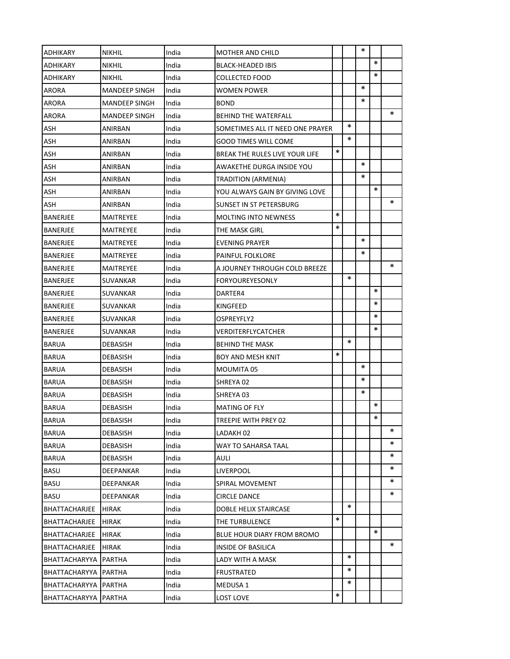| <b>ADHIKARY</b>      | <b>NIKHIL</b>        | India | MOTHER AND CHILD                 |        |        | $\ast$ |        |        |
|----------------------|----------------------|-------|----------------------------------|--------|--------|--------|--------|--------|
| <b>ADHIKARY</b>      | <b>NIKHIL</b>        | India | BLACK-HEADED IBIS                |        |        |        | $\ast$ |        |
| <b>ADHIKARY</b>      | <b>NIKHIL</b>        | India | COLLECTED FOOD                   |        |        |        | $\ast$ |        |
| ARORA                | <b>MANDEEP SINGH</b> | India | WOMEN POWER                      |        |        | $\ast$ |        |        |
| <b>ARORA</b>         | <b>MANDEEP SINGH</b> | India | BOND                             |        |        | $\ast$ |        |        |
| <b>ARORA</b>         | <b>MANDEEP SINGH</b> | India | BEHIND THE WATERFALL             |        |        |        |        | *      |
| <b>ASH</b>           | ANIRBAN              | India | SOMETIMES ALL IT NEED ONE PRAYER |        | $\ast$ |        |        |        |
| <b>ASH</b>           | ANIRBAN              | India | GOOD TIMES WILL COME             |        | $\ast$ |        |        |        |
| <b>ASH</b>           | ANIRBAN              | India | BREAK THE RULES LIVE YOUR LIFE   | $\ast$ |        |        |        |        |
| ASH                  | ANIRBAN              | India | AWAKETHE DURGA INSIDE YOU        |        |        | $\ast$ |        |        |
| ASH                  | ANIRBAN              | India | TRADITION (ARMENIA)              |        |        | $\ast$ |        |        |
| ASH                  | ANIRBAN              | India | YOU ALWAYS GAIN BY GIVING LOVE   |        |        |        | $\ast$ |        |
| ASH                  | ANIRBAN              | India | SUNSET IN ST PETERSBURG          |        |        |        |        | *      |
| <b>BANERJEE</b>      | MAITREYEE            | India | <b>MOLTING INTO NEWNESS</b>      | *      |        |        |        |        |
| BANERJEE             | MAITREYEE            | India | THE MASK GIRL                    | $\ast$ |        |        |        |        |
| BANERJEE             | <b>MAITREYEE</b>     | India | <b>EVENING PRAYER</b>            |        |        | $\ast$ |        |        |
| BANERJEE             | MAITREYEE            | India | PAINFUL FOLKLORE                 |        |        | $\ast$ |        |        |
| BANERJEE             | <b>MAITREYEE</b>     | India | A JOURNEY THROUGH COLD BREEZE    |        |        |        |        | $\ast$ |
| BANERJEE             | SUVANKAR             | India | FORYOUREYESONLY                  |        | $\ast$ |        |        |        |
| BANERJEE             | SUVANKAR             | India | DARTER4                          |        |        |        | $\ast$ |        |
| <b>BANERJEE</b>      | SUVANKAR             | India | KINGFEED                         |        |        |        | $\ast$ |        |
| BANERJEE             | SUVANKAR             | India | OSPREYFLY2                       |        |        |        | $\ast$ |        |
| BANERJEE             | SUVANKAR             | India | VERDITERFLYCATCHER               |        |        |        | $\ast$ |        |
| <b>BARUA</b>         | DEBASISH             | India | BEHIND THE MASK                  |        | $\ast$ |        |        |        |
| <b>BARUA</b>         | <b>DEBASISH</b>      | India | BOY AND MESH KNIT                | $\ast$ |        |        |        |        |
| <b>BARUA</b>         | <b>DEBASISH</b>      | India | MOUMITA 05                       |        |        | $\ast$ |        |        |
| <b>BARUA</b>         | <b>DEBASISH</b>      | India | SHREYA 02                        |        |        | ∗      |        |        |
| <b>BARUA</b>         | <b>DEBASISH</b>      | India | SHREYA 03                        |        |        | $\ast$ |        |        |
| <b>BARUA</b>         | <b>DEBASISH</b>      | India | MATING OF FLY                    |        |        |        | $\ast$ |        |
| BARUA                | DEBASISH             | India | TREEPIE WITH PREY 02             |        |        |        | $\ast$ |        |
| <b>BARUA</b>         | DEBASISH             | India | LADAKH 02                        |        |        |        |        | *      |
| <b>BARUA</b>         | DEBASISH             | India | WAY TO SAHARSA TAAL              |        |        |        |        | *      |
| <b>BARUA</b>         | DEBASISH             | India | AULI                             |        |        |        |        | ∗      |
| <b>BASU</b>          | DEEPANKAR            | India | LIVERPOOL                        |        |        |        |        | *      |
| <b>BASU</b>          | DEEPANKAR            | India | SPIRAL MOVEMENT                  |        |        |        |        | ∗      |
| <b>BASU</b>          | DEEPANKAR            | India | <b>CIRCLE DANCE</b>              |        |        |        |        | ∗      |
| <b>BHATTACHARJEE</b> | HIRAK                | India | DOBLE HELIX STAIRCASE            |        | $\ast$ |        |        |        |
| <b>BHATTACHARJEE</b> | HIRAK                | India | THE TURBULENCE                   | *      |        |        |        |        |
| BHATTACHARJEE        | HIRAK                | India | BLUE HOUR DIARY FROM BROMO       |        |        |        | *      |        |
| BHATTACHARJEE        | HIRAK                | India | INSIDE OF BASILICA               |        |        |        |        | *      |
| BHATTACHARYYA        | PARTHA               | India | LADY WITH A MASK                 |        | $\ast$ |        |        |        |
| <b>BHATTACHARYYA</b> | PARTHA               | India | FRUSTRATED                       |        | ∗      |        |        |        |
| BHATTACHARYYA        | PARTHA               | India | MEDUSA 1                         |        | $\ast$ |        |        |        |
| <b>BHATTACHARYYA</b> | PARTHA               | India | LOST LOVE                        | $\ast$ |        |        |        |        |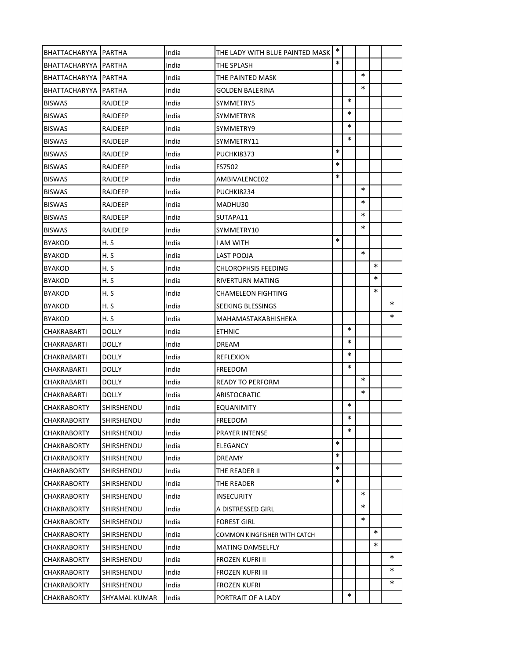| <b>BHATTACHARYYA IPARTHA</b> |               | India | THE LADY WITH BLUE PAINTED MASK | $\ast$ |        |        |        |        |
|------------------------------|---------------|-------|---------------------------------|--------|--------|--------|--------|--------|
| BHATTACHARYYA   PARTHA       |               | India | THE SPLASH                      | $\ast$ |        |        |        |        |
| <b>BHATTACHARYYA IPARTHA</b> |               | India | THE PAINTED MASK                |        |        | $\ast$ |        |        |
| BHATTACHARYYA                | PARTHA        | India | <b>GOLDEN BALERINA</b>          |        |        | $\ast$ |        |        |
| <b>BISWAS</b>                | RAJDEEP       | India | SYMMETRY5                       |        | $\ast$ |        |        |        |
| <b>BISWAS</b>                | RAJDEEP       | India | SYMMETRY8                       |        | *      |        |        |        |
| <b>BISWAS</b>                | RAJDEEP       | India | SYMMETRY9                       |        | ∗      |        |        |        |
| <b>BISWAS</b>                | RAJDEEP       | India | SYMMETRY11                      |        | $\ast$ |        |        |        |
| <b>BISWAS</b>                | RAJDEEP       | India | PUCHKI8373                      | $\ast$ |        |        |        |        |
| <b>BISWAS</b>                | RAJDEEP       | India | FS7502                          | $\ast$ |        |        |        |        |
| <b>BISWAS</b>                | RAJDEEP       | India | AMBIVALENCE02                   | $\ast$ |        |        |        |        |
| <b>BISWAS</b>                | RAJDEEP       | India | PUCHKI8234                      |        |        | $\ast$ |        |        |
| <b>BISWAS</b>                | RAJDEEP       | India | MADHU30                         |        |        | ∗      |        |        |
| <b>BISWAS</b>                | RAJDEEP       | India | SUTAPA11                        |        |        | $\ast$ |        |        |
| <b>BISWAS</b>                | RAJDEEP       | India | SYMMETRY10                      |        |        | ∗      |        |        |
| <b>BYAKOD</b>                | H. S          | India | I AM WITH                       | $\ast$ |        |        |        |        |
| <b>BYAKOD</b>                | H. S          | India | LAST POOJA                      |        |        | $\ast$ |        |        |
| <b>BYAKOD</b>                | H. S          | India | <b>CHLOROPHSIS FEEDING</b>      |        |        |        | $\ast$ |        |
| <b>BYAKOD</b>                | H. S          | India | RIVERTURN MATING                |        |        |        | $\ast$ |        |
| <b>BYAKOD</b>                | H. S          | India | CHAMELEON FIGHTING              |        |        |        | $\ast$ |        |
| <b>BYAKOD</b>                | H.S           | India | SEEKING BLESSINGS               |        |        |        |        | $\ast$ |
| <b>BYAKOD</b>                | H. S          | India | MAHAMASTAKABHISHEKA             |        |        |        |        | ∗      |
| CHAKRABARTI                  | DOLLY         | India | <b>ETHNIC</b>                   |        | $\ast$ |        |        |        |
| CHAKRABARTI                  | DOLLY         | India | DREAM                           |        | $\ast$ |        |        |        |
| CHAKRABARTI                  | DOLLY         | India | <b>REFLEXION</b>                |        | ∗      |        |        |        |
| <b>CHAKRABARTI</b>           | DOLLY         | India | <b>FREEDOM</b>                  |        | $\ast$ |        |        |        |
| CHAKRABARTI                  | DOLLY         | India | <b>READY TO PERFORM</b>         |        |        | $\ast$ |        |        |
| <b>CHAKRABARTI</b>           | <b>DOLLY</b>  | India | ARISTOCRATIC                    |        |        | $\ast$ |        |        |
| <b>CHAKRABORTY</b>           | SHIRSHENDU    | India | <b>EQUANIMITY</b>               |        | $\ast$ |        |        |        |
| <b>CHAKRABORTY</b>           | SHIRSHENDU    | India | FREEDOM                         |        | $\ast$ |        |        |        |
| <b>CHAKRABORTY</b>           | SHIRSHENDU    | India | PRAYER INTENSE                  |        | *      |        |        |        |
| <b>CHAKRABORTY</b>           | SHIRSHENDU    | India | ELEGANCY                        | $\ast$ |        |        |        |        |
| <b>CHAKRABORTY</b>           | SHIRSHENDU    | India | DREAMY                          | $\ast$ |        |        |        |        |
| <b>CHAKRABORTY</b>           | SHIRSHENDU    | India | THE READER II                   | $\ast$ |        |        |        |        |
| <b>CHAKRABORTY</b>           | SHIRSHENDU    | India | THE READER                      | $\ast$ |        |        |        |        |
| <b>CHAKRABORTY</b>           | SHIRSHENDU    | India | <b>INSECURITY</b>               |        |        | $\ast$ |        |        |
| <b>CHAKRABORTY</b>           | SHIRSHENDU    | India | A DISTRESSED GIRL               |        |        | *      |        |        |
| <b>CHAKRABORTY</b>           | SHIRSHENDU    | India | <b>FOREST GIRL</b>              |        |        | ∗      |        |        |
| <b>CHAKRABORTY</b>           | SHIRSHENDU    | India | COMMON KINGFISHER WITH CATCH    |        |        |        | *      |        |
| <b>CHAKRABORTY</b>           | SHIRSHENDU    | India | <b>MATING DAMSELFLY</b>         |        |        |        | *      |        |
| <b>CHAKRABORTY</b>           | SHIRSHENDU    | India | FROZEN KUFRI II                 |        |        |        |        | $\ast$ |
| <b>CHAKRABORTY</b>           | SHIRSHENDU    | India | FROZEN KUFRI III                |        |        |        |        | ∗      |
| <b>CHAKRABORTY</b>           | SHIRSHENDU    | India | FROZEN KUFRI                    |        |        |        |        | ∗      |
| <b>CHAKRABORTY</b>           | SHYAMAL KUMAR | India | PORTRAIT OF A LADY              |        | *      |        |        |        |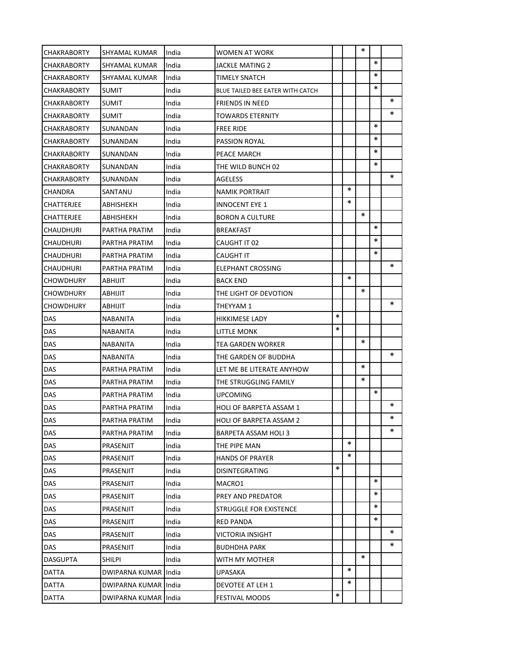| <b>CHAKRABORTY</b> | SHYAMAL KUMAR        | India | WOMEN AT WORK                    |        |        | ∗      |        |        |
|--------------------|----------------------|-------|----------------------------------|--------|--------|--------|--------|--------|
| <b>CHAKRABORTY</b> | SHYAMAL KUMAR        | India | JACKLE MATING 2                  |        |        |        | $\ast$ |        |
| <b>CHAKRABORTY</b> | <b>SHYAMAL KUMAR</b> | India | TIMELY SNATCH                    |        |        |        | $\ast$ |        |
| <b>CHAKRABORTY</b> | <b>SUMIT</b>         | India | BLUE TAILED BEE EATER WITH CATCH |        |        |        | $\ast$ |        |
| <b>CHAKRABORTY</b> | <b>SUMIT</b>         | India | <b>FRIENDS IN NEED</b>           |        |        |        |        | $\ast$ |
| <b>CHAKRABORTY</b> | <b>SUMIT</b>         | India | TOWARDS ETERNITY                 |        |        |        |        | $\ast$ |
| <b>CHAKRABORTY</b> | SUNANDAN             | India | <b>FREE RIDE</b>                 |        |        |        | $\ast$ |        |
| <b>CHAKRABORTY</b> | SUNANDAN             | India | PASSION ROYAL                    |        |        |        | $\ast$ |        |
| <b>CHAKRABORTY</b> | SUNANDAN             | India | PEACE MARCH                      |        |        |        | $\ast$ |        |
| <b>CHAKRABORTY</b> | SUNANDAN             | India | THE WILD BUNCH 02                |        |        |        | $\ast$ |        |
| <b>CHAKRABORTY</b> | SUNANDAN             | India | AGELESS                          |        |        |        |        | ∗      |
| <b>CHANDRA</b>     | SANTANU              | India | NAMIK PORTRAIT                   |        | $\ast$ |        |        |        |
| CHATTERJEE         | ABHISHEKH            | India | <b>INNOCENT EYE 1</b>            |        | $\ast$ |        |        |        |
| <b>CHATTERJEE</b>  | ABHISHEKH            | India | <b>BORON A CULTURE</b>           |        |        | $\ast$ |        |        |
| CHAUDHURI          | PARTHA PRATIM        | India | <b>BREAKFAST</b>                 |        |        |        | $\ast$ |        |
| CHAUDHURI          | PARTHA PRATIM        | India | CAUGHT IT 02                     |        |        |        | $\ast$ |        |
| <b>CHAUDHURI</b>   | PARTHA PRATIM        | India | CAUGHT IT                        |        |        |        | $\ast$ |        |
| <b>CHAUDHURI</b>   | PARTHA PRATIM        | India | <b>ELEPHANT CROSSING</b>         |        |        |        |        | $\ast$ |
| <b>CHOWDHURY</b>   | ABHIJIT              | India | BACK END                         |        | $\ast$ |        |        |        |
| <b>CHOWDHURY</b>   | ABHIJIT              | India | THE LIGHT OF DEVOTION            |        |        | ∗      |        |        |
| <b>CHOWDHURY</b>   | ABHIJIT              | India | THEYYAM 1                        |        |        |        |        | ∗      |
| DAS                | NABANITA             | India | HIKKIMESE LADY                   | $\ast$ |        |        |        |        |
| DAS                | NABANITA             | India | LITTLE MONK                      | $\ast$ |        |        |        |        |
| DAS                | NABANITA             | India | TEA GARDEN WORKER                |        |        | ∗      |        |        |
| DAS                | <b>NABANITA</b>      | India | THE GARDEN OF BUDDHA             |        |        |        |        | $\ast$ |
| <b>DAS</b>         | PARTHA PRATIM        | India | LET ME BE LITERATE ANYHOW        |        |        | $\ast$ |        |        |
| <b>DAS</b>         | PARTHA PRATIM        | India | THE STRUGGLING FAMILY            |        |        | ∗      |        |        |
| DAS                | PARTHA PRATIM        | India | UPCOMING                         |        |        |        | $\ast$ |        |
| DAS                | PARTHA PRATIM        | India | <b>HOLI OF BARPETA ASSAM 1</b>   |        |        |        |        | $\ast$ |
| DAS                | PARTHA PRATIM        | India | HOLI OF BARPETA ASSAM 2          |        |        |        |        | $\ast$ |
| DAS                | PARTHA PRATIM        | India | BARPETA ASSAM HOLI 3             |        |        |        |        | *      |
| DAS                | PRASENJIT            | India | THE PIPE MAN                     |        | $\ast$ |        |        |        |
| DAS                | PRASENJIT            | India | <b>HANDS OF PRAYER</b>           |        | *      |        |        |        |
| DAS                | PRASENJIT            | India | DISINTEGRATING                   | $\ast$ |        |        |        |        |
| DAS                | PRASENJIT            | India | MACRO1                           |        |        |        | $\ast$ |        |
| <b>DAS</b>         | PRASENJIT            | India | PREY AND PREDATOR                |        |        |        | $\ast$ |        |
| <b>DAS</b>         | PRASENJIT            | India | STRUGGLE FOR EXISTENCE           |        |        |        | *      |        |
| <b>DAS</b>         | PRASENJIT            | India | RED PANDA                        |        |        |        | $\ast$ |        |
| DAS                | PRASENJIT            | India | VICTORIA INSIGHT                 |        |        |        |        | ∗      |
| DAS                | PRASENJIT            | India | BUDHDHA PARK                     |        |        |        |        | ∗      |
| <b>DASGUPTA</b>    | SHILPI               | India | WITH MY MOTHER                   |        |        | $\ast$ |        |        |
| DATTA              | DWIPARNA KUMAR India |       | UPASAKA                          |        | *      |        |        |        |
| DATTA              | DWIPARNA KUMAR India |       | DEVOTEE AT LEH 1                 |        | *      |        |        |        |
| <b>DATTA</b>       | DWIPARNA KUMAR India |       | FESTIVAL MOODS                   | $\ast$ |        |        |        |        |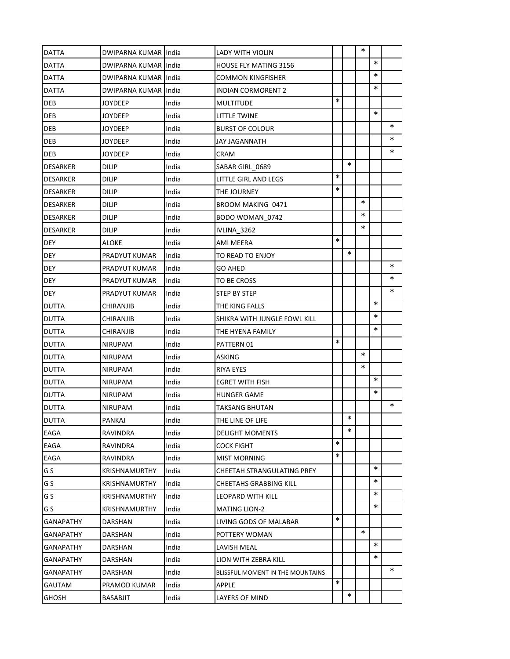| DATTA            | DWIPARNA KUMAR India |       | LADY WITH VIOLIN                 |        |        | $\ast$ |        |        |
|------------------|----------------------|-------|----------------------------------|--------|--------|--------|--------|--------|
| DATTA            | DWIPARNA KUMAR India |       | <b>HOUSE FLY MATING 3156</b>     |        |        |        | $\ast$ |        |
| <b>DATTA</b>     | DWIPARNA KUMAR India |       | COMMON KINGFISHER                |        |        |        | $\ast$ |        |
| <b>DATTA</b>     | DWIPARNA KUMAR India |       | <b>INDIAN CORMORENT 2</b>        |        |        |        | $\ast$ |        |
| DEB              | <b>JOYDEEP</b>       | India | MULTITUDE                        | $\ast$ |        |        |        |        |
| DEB              | JOYDEEP              | India | LITTLE TWINE                     |        |        |        | $\ast$ |        |
| DEB              | <b>JOYDEEP</b>       | India | <b>BURST OF COLOUR</b>           |        |        |        |        | $\ast$ |
| DEB              | JOYDEEP              | India | JAY JAGANNATH                    |        |        |        |        | $\ast$ |
| DEB              | <b>JOYDEEP</b>       | India | CRAM                             |        |        |        |        | $\ast$ |
| <b>DESARKER</b>  | DILIP                | India | SABAR GIRL 0689                  |        | $\ast$ |        |        |        |
| <b>DESARKER</b>  | <b>DILIP</b>         | India | LITTLE GIRL AND LEGS             | $\ast$ |        |        |        |        |
| DESARKER         | DILIP                | India | THE JOURNEY                      | $\ast$ |        |        |        |        |
| DESARKER         | <b>DILIP</b>         | India | BROOM MAKING 0471                |        |        | $\ast$ |        |        |
| <b>DESARKER</b>  | <b>DILIP</b>         | India | BODO WOMAN 0742                  |        |        | $\ast$ |        |        |
| <b>DESARKER</b>  | <b>DILIP</b>         | India | IVLINA 3262                      |        |        | $\ast$ |        |        |
| <b>DEY</b>       | <b>ALOKE</b>         | India | AMI MEERA                        | $\ast$ |        |        |        |        |
| <b>DEY</b>       | PRADYUT KUMAR        | India | TO READ TO ENJOY                 |        | $\ast$ |        |        |        |
| <b>DEY</b>       | PRADYUT KUMAR        | India | <b>GO AHED</b>                   |        |        |        |        | ∗      |
| <b>DEY</b>       | PRADYUT KUMAR        | India | TO BE CROSS                      |        |        |        |        | $\ast$ |
| <b>DEY</b>       | PRADYUT KUMAR        | India | <b>STEP BY STEP</b>              |        |        |        |        | $\ast$ |
| <b>DUTTA</b>     | CHIRANJIB            | India | THE KING FALLS                   |        |        |        | $\ast$ |        |
| <b>DUTTA</b>     | CHIRANJIB            | India | SHIKRA WITH JUNGLE FOWL KILL     |        |        |        | $\ast$ |        |
| <b>DUTTA</b>     | CHIRANJIB            | India | THE HYENA FAMILY                 |        |        |        | $\ast$ |        |
| <b>DUTTA</b>     | <b>NIRUPAM</b>       | India | PATTERN 01                       | $\ast$ |        |        |        |        |
| <b>DUTTA</b>     | <b>NIRUPAM</b>       | India | ASKING                           |        |        | $\ast$ |        |        |
| <b>DUTTA</b>     | <b>NIRUPAM</b>       | India | RIYA EYES                        |        |        | ∗      |        |        |
| <b>DUTTA</b>     | <b>NIRUPAM</b>       | India | EGRET WITH FISH                  |        |        |        | $\ast$ |        |
| <b>DUTTA</b>     | <b>NIRUPAM</b>       | India | HUNGER GAME                      |        |        |        | $\ast$ |        |
| <b>DUTTA</b>     | <b>NIRUPAM</b>       | India | TAKSANG BHUTAN                   |        |        |        |        | $\ast$ |
| DUTTA            | PANKAJ               | India | THE LINE OF LIFE                 |        | $\ast$ |        |        |        |
| EAGA             | RAVINDRA             | India | DELIGHT MOMENTS                  |        | $\ast$ |        |        |        |
| EAGA             | RAVINDRA             | India | COCK FIGHT                       | $\ast$ |        |        |        |        |
| EAGA             | RAVINDRA             | India | MIST MORNING                     | $\ast$ |        |        |        |        |
| G S              | KRISHNAMURTHY        | India | CHEETAH STRANGULATING PREY       |        |        |        | $\ast$ |        |
| G S              | <b>KRISHNAMURTHY</b> | India | CHEETAHS GRABBING KILL           |        |        |        | $\ast$ |        |
| G S              | KRISHNAMURTHY        | India | LEOPARD WITH KILL                |        |        |        | *      |        |
| G S              | <b>KRISHNAMURTHY</b> | India | MATING LION-2                    |        |        |        | $\ast$ |        |
| GANAPATHY        | DARSHAN              | India | LIVING GODS OF MALABAR           | $\ast$ |        |        |        |        |
| <b>GANAPATHY</b> | DARSHAN              | India | POTTERY WOMAN                    |        |        | $\ast$ |        |        |
| GANAPATHY        | DARSHAN              | India | LAVISH MEAL                      |        |        |        | $\ast$ |        |
| <b>GANAPATHY</b> | DARSHAN              | India | LION WITH ZEBRA KILL             |        |        |        | $\ast$ |        |
| <b>GANAPATHY</b> | DARSHAN              | India | BLISSFUL MOMENT IN THE MOUNTAINS |        |        |        |        | ∗      |
| <b>GAUTAM</b>    | PRAMOD KUMAR         | India | APPLE                            | $\ast$ |        |        |        |        |
| <b>GHOSH</b>     | BASABJIT             | India | LAYERS OF MIND                   |        | *      |        |        |        |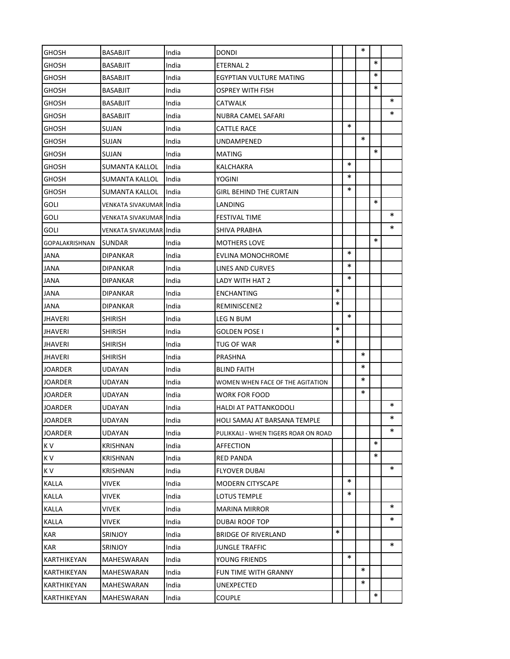| <b>GHOSH</b>          | <b>BASABJIT</b>          | India | DONDI                                |        |        | ∗      |        |        |
|-----------------------|--------------------------|-------|--------------------------------------|--------|--------|--------|--------|--------|
| GHOSH                 | <b>BASABJIT</b>          | India | ETERNAL 2                            |        |        |        | $\ast$ |        |
| GHOSH                 | <b>BASABJIT</b>          | India | EGYPTIAN VULTURE MATING              |        |        |        | $\ast$ |        |
| GHOSH                 | <b>BASABJIT</b>          | India | OSPREY WITH FISH                     |        |        |        | $\ast$ |        |
| GHOSH                 | <b>BASABJIT</b>          | India | CATWALK                              |        |        |        |        | $\ast$ |
| GHOSH                 | <b>BASABJIT</b>          | India | NUBRA CAMEL SAFARI                   |        |        |        |        | $\ast$ |
| GHOSH                 | SUJAN                    | India | CATTLE RACE                          |        | $\ast$ |        |        |        |
| GHOSH                 | SUJAN                    | India | UNDAMPENED                           |        |        | $\ast$ |        |        |
| GHOSH                 | SUJAN                    | India | MATING                               |        |        |        | $\ast$ |        |
| GHOSH                 | SUMANTA KALLOL           | India | KALCHAKRA                            |        | $\ast$ |        |        |        |
| GHOSH                 | SUMANTA KALLOL           | India | YOGINI                               |        | $\ast$ |        |        |        |
| GHOSH                 | SUMANTA KALLOL           | India | GIRL BEHIND THE CURTAIN              |        | *      |        |        |        |
| <b>GOLI</b>           | VENKATA SIVAKUMAR India  |       | LANDING                              |        |        |        | $\ast$ |        |
| GOLI                  | VENKATA SIVAKUMAR IIndia |       | <b>FESTIVAL TIME</b>                 |        |        |        |        | ∗      |
| GOLI                  | VENKATA SIVAKUMAR India  |       | SHIVA PRABHA                         |        |        |        |        | ∗      |
| <b>GOPALAKRISHNAN</b> | <b>SUNDAR</b>            | India | <b>MOTHERS LOVE</b>                  |        |        |        | $\ast$ |        |
| JANA                  | <b>DIPANKAR</b>          | India | EVLINA MONOCHROME                    |        | $\ast$ |        |        |        |
| JANA                  | <b>DIPANKAR</b>          | India | LINES AND CURVES                     |        | *      |        |        |        |
| <b>JANA</b>           | DIPANKAR                 | India | LADY WITH HAT 2                      |        | $\ast$ |        |        |        |
| <b>JANA</b>           | <b>DIPANKAR</b>          | India | ENCHANTING                           | $\ast$ |        |        |        |        |
| JANA                  | <b>DIPANKAR</b>          | India | REMINISCENE2                         | $\ast$ |        |        |        |        |
| <b>JHAVERI</b>        | <b>SHIRISH</b>           | India | LEG N BUM                            |        | $\ast$ |        |        |        |
| <b>JHAVERI</b>        | <b>SHIRISH</b>           | India | GOLDEN POSE I                        | $\ast$ |        |        |        |        |
| <b>JHAVERI</b>        | <b>SHIRISH</b>           | India | TUG OF WAR                           | $\ast$ |        |        |        |        |
| <b>JHAVERI</b>        | <b>SHIRISH</b>           | India | PRASHNA                              |        |        | $\ast$ |        |        |
| <b>JOARDER</b>        | UDAYAN                   | India | BLIND FAITH                          |        |        | $\ast$ |        |        |
| <b>JOARDER</b>        | UDAYAN                   | India | WOMEN WHEN FACE OF THE AGITATION     |        |        | ∗      |        |        |
| JOARDER               | UDAYAN                   | India | WORK FOR FOOD                        |        |        | ∗      |        |        |
| <b>JOARDER</b>        | UDAYAN                   | India | <b>HALDI AT PATTANKODOLI</b>         |        |        |        |        | $\ast$ |
| JOARDER               | UDAYAN                   | India | HOLI SAMAJ AT BARSANA TEMPLE         |        |        |        |        | $\ast$ |
| <b>JOARDER</b>        | UDAYAN                   | India | PULIKKALI - WHEN TIGERS ROAR ON ROAD |        |        |        |        | *      |
| K V                   | KRISHNAN                 | India | AFFECTION                            |        |        |        | $\ast$ |        |
| K V                   | <b>KRISHNAN</b>          | India | RED PANDA                            |        |        |        | *      |        |
| K V                   | KRISHNAN                 | India | FLYOVER DUBAI                        |        |        |        |        | *      |
| KALLA                 | VIVEK                    | India | MODERN CITYSCAPE                     |        | $\ast$ |        |        |        |
| <b>KALLA</b>          | VIVEK                    | India | LOTUS TEMPLE                         |        | $\ast$ |        |        |        |
| KALLA                 | VIVEK                    | India | MARINA MIRROR                        |        |        |        |        | *      |
| KALLA                 | VIVEK                    | India | DUBAI ROOF TOP                       |        |        |        |        | ∗      |
| KAR                   | <b>SRINJOY</b>           | India | BRIDGE OF RIVERLAND                  | $\ast$ |        |        |        |        |
| KAR                   | SRINJOY                  | India | JUNGLE TRAFFIC                       |        |        |        |        | $\ast$ |
| KARTHIKEYAN           | MAHESWARAN               | India | YOUNG FRIENDS                        |        | $\ast$ |        |        |        |
| KARTHIKEYAN           | MAHESWARAN               | India | FUN TIME WITH GRANNY                 |        |        | *      |        |        |
| KARTHIKEYAN           | MAHESWARAN               | India | UNEXPECTED                           |        |        | *      |        |        |
| KARTHIKEYAN           | MAHESWARAN               | India | <b>COUPLE</b>                        |        |        |        | $\ast$ |        |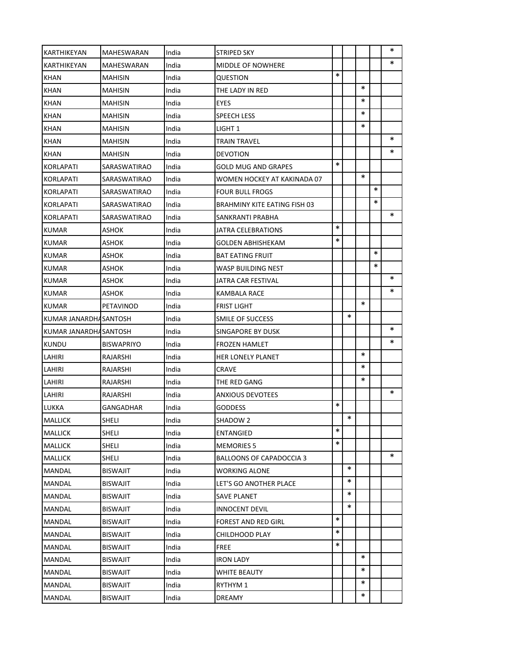| <b>KARTHIKEYAN</b>    | <b>MAHESWARAN</b> | India | STRIPED SKY                     |        |        |        |        | ∗      |
|-----------------------|-------------------|-------|---------------------------------|--------|--------|--------|--------|--------|
| KARTHIKEYAN           | MAHESWARAN        | India | MIDDLE OF NOWHERE               |        |        |        |        | $\ast$ |
| <b>KHAN</b>           | <b>MAHISIN</b>    | India | QUESTION                        | $\ast$ |        |        |        |        |
| KHAN                  | MAHISIN           | India | THE LADY IN RED                 |        |        | $\ast$ |        |        |
| <b>KHAN</b>           | <b>MAHISIN</b>    | India | EYES                            |        |        | ∗      |        |        |
| KHAN                  | <b>MAHISIN</b>    | India | SPEECH LESS                     |        |        | $\ast$ |        |        |
| <b>KHAN</b>           | <b>MAHISIN</b>    | India | LIGHT 1                         |        |        | ∗      |        |        |
| KHAN                  | <b>MAHISIN</b>    | India | TRAIN TRAVEL                    |        |        |        |        | $\ast$ |
| <b>KHAN</b>           | <b>MAHISIN</b>    | India | DEVOTION                        |        |        |        |        | $\ast$ |
| <b>KORLAPATI</b>      | SARASWATIRAO      | India | GOLD MUG AND GRAPES             | $\ast$ |        |        |        |        |
| <b>KORLAPATI</b>      | SARASWATIRAO      | India | WOMEN HOCKEY AT KAKINADA 07     |        |        | $\ast$ |        |        |
| <b>KORLAPATI</b>      | SARASWATIRAO      | India | FOUR BULL FROGS                 |        |        |        | $\ast$ |        |
| <b>KORLAPATI</b>      | SARASWATIRAO      | India | BRAHMINY KITE EATING FISH 03    |        |        |        | $\ast$ |        |
| <b>KORLAPATI</b>      | SARASWATIRAO      | India | SANKRANTI PRABHA                |        |        |        |        | $\ast$ |
| <b>KUMAR</b>          | ASHOK             | India | JATRA CELEBRATIONS              | $\ast$ |        |        |        |        |
| <b>KUMAR</b>          | <b>ASHOK</b>      | India | GOLDEN ABHISHEKAM               | $\ast$ |        |        |        |        |
| <b>KUMAR</b>          | ASHOK             | India | BAT EATING FRUIT                |        |        |        | $\ast$ |        |
| <b>KUMAR</b>          | ASHOK             | India | WASP BUILDING NEST              |        |        |        | $\ast$ |        |
| <b>KUMAR</b>          | ASHOK             | India | JATRA CAR FESTIVAL              |        |        |        |        | $\ast$ |
| <b>KUMAR</b>          | <b>ASHOK</b>      | India | KAMBALA RACE                    |        |        |        |        | ∗      |
| <b>KUMAR</b>          | PETAVINOD         | India | <b>FRIST LIGHT</b>              |        |        | $\ast$ |        |        |
| KUMAR JANARDHASANTOSH |                   | India | SMILE OF SUCCESS                |        | $\ast$ |        |        |        |
| KUMAR JANARDHASANTOSH |                   | India | SINGAPORE BY DUSK               |        |        |        |        | $\ast$ |
| <b>KUNDU</b>          | <b>BISWAPRIYO</b> | India | FROZEN HAMLET                   |        |        |        |        | $\ast$ |
| LAHIRI                | RAJARSHI          | India | HER LONELY PLANET               |        |        | $\ast$ |        |        |
| LAHIRI                | RAJARSHI          | India | CRAVE                           |        |        | $\ast$ |        |        |
| LAHIRI                | RAJARSHI          | India | THE RED GANG                    |        |        | ∗      |        |        |
| LAHIRI                | RAJARSHI          | India | <b>ANXIOUS DEVOTEES</b>         |        |        |        |        | $\ast$ |
| LUKKA                 | GANGADHAR         | India | GODDESS                         | $\ast$ |        |        |        |        |
| MALLICK               | SHELI             | India | SHADOW 2                        |        | $\ast$ |        |        |        |
| <b>MALLICK</b>        | Sheli             | India | ENTANGIED                       | $\ast$ |        |        |        |        |
| <b>MALLICK</b>        | <b>SHELI</b>      | India | MEMORIES 5                      | $\ast$ |        |        |        |        |
| MALLICK               | <b>SHELI</b>      | India | <b>BALLOONS OF CAPADOCCIA 3</b> |        |        |        |        | $\ast$ |
| MANDAL                | <b>BISWAJIT</b>   | India | WORKING ALONE                   |        | $\ast$ |        |        |        |
| MANDAL                | <b>BISWAJIT</b>   | India | LET'S GO ANOTHER PLACE          |        | $\ast$ |        |        |        |
| MANDAL                | <b>BISWAJIT</b>   | India | <b>SAVE PLANET</b>              |        | *      |        |        |        |
| MANDAL                | <b>BISWAJIT</b>   | India | INNOCENT DEVIL                  |        | $\ast$ |        |        |        |
| MANDAL                | <b>BISWAJIT</b>   | India | <b>FOREST AND RED GIRL</b>      | $\ast$ |        |        |        |        |
| MANDAL                | <b>BISWAJIT</b>   | India | CHILDHOOD PLAY                  | $\ast$ |        |        |        |        |
| <b>MANDAL</b>         | <b>BISWAJIT</b>   | India | <b>FREE</b>                     | $\ast$ |        |        |        |        |
| MANDAL                | <b>BISWAJIT</b>   | India | IRON LADY                       |        |        | $\ast$ |        |        |
| MANDAL                | <b>BISWAJIT</b>   | India | WHITE BEAUTY                    |        |        | ∗      |        |        |
| MANDAL                | <b>BISWAJIT</b>   | India | RYTHYM 1                        |        |        | *      |        |        |
| <b>MANDAL</b>         | <b>BISWAJIT</b>   | India | DREAMY                          |        |        | *      |        |        |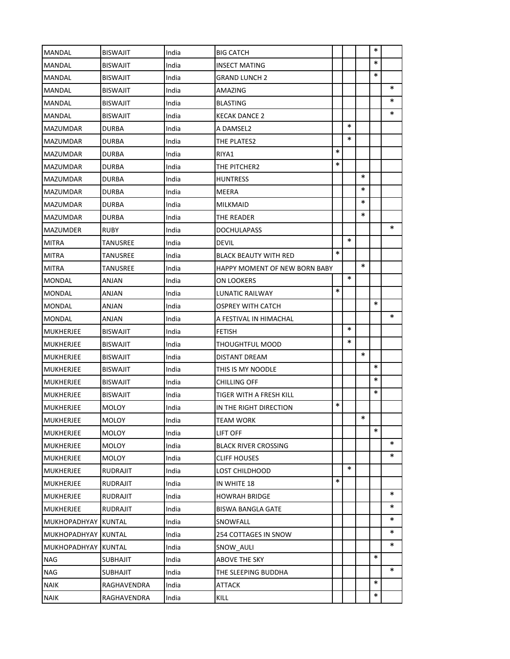| <b>MANDAL</b>       | <b>BISWAJIT</b> | India | <b>BIG CATCH</b>              |        |        |        | ∗      |        |
|---------------------|-----------------|-------|-------------------------------|--------|--------|--------|--------|--------|
| <b>MANDAL</b>       | <b>BISWAJIT</b> | India | <b>INSECT MATING</b>          |        |        |        | $\ast$ |        |
| <b>MANDAL</b>       | <b>BISWAJIT</b> | India | <b>GRAND LUNCH 2</b>          |        |        |        | $\ast$ |        |
| MANDAL              | <b>BISWAJIT</b> | India | AMAZING                       |        |        |        |        | $\ast$ |
| <b>MANDAL</b>       | <b>BISWAJIT</b> | India | <b>BLASTING</b>               |        |        |        |        | ∗      |
| MANDAL              | <b>BISWAJIT</b> | India | <b>KECAK DANCE 2</b>          |        |        |        |        | $\ast$ |
| MAZUMDAR            | <b>DURBA</b>    | India | A DAMSEL2                     |        | $\ast$ |        |        |        |
| MAZUMDAR            | <b>DURBA</b>    | India | THE PLATES2                   |        | $\ast$ |        |        |        |
| MAZUMDAR            | <b>DURBA</b>    | India | RIYA1                         | $\ast$ |        |        |        |        |
| MAZUMDAR            | <b>DURBA</b>    | India | THE PITCHER2                  | $\ast$ |        |        |        |        |
| <b>MAZUMDAR</b>     | <b>DURBA</b>    | India | <b>HUNTRESS</b>               |        |        | $\ast$ |        |        |
| <b>MAZUMDAR</b>     | <b>DURBA</b>    | India | MEERA                         |        |        | $\ast$ |        |        |
| <b>MAZUMDAR</b>     | <b>DURBA</b>    | India | <b>MILKMAID</b>               |        |        | ∗      |        |        |
| <b>MAZUMDAR</b>     | <b>DURBA</b>    | India | THE READER                    |        |        | *      |        |        |
| <b>MAZUMDER</b>     | <b>RUBY</b>     | India | <b>DOCHULAPASS</b>            |        |        |        |        | $\ast$ |
| <b>MITRA</b>        | TANUSREE        | India | DEVIL                         |        | $\ast$ |        |        |        |
| MITRA               | TANUSREE        | India | BLACK BEAUTY WITH RED         | $\ast$ |        |        |        |        |
| <b>MITRA</b>        | TANUSREE        | India | HAPPY MOMENT OF NEW BORN BABY |        |        | $\ast$ |        |        |
| MONDAL              | ANJAN           | India | ON LOOKERS                    |        | $\ast$ |        |        |        |
| MONDAL              | ANJAN           | India | LUNATIC RAILWAY               | $\ast$ |        |        |        |        |
| MONDAL              | ANJAN           | India | OSPREY WITH CATCH             |        |        |        | $\ast$ |        |
| MONDAL              | ANJAN           | India | A FESTIVAL IN HIMACHAL        |        |        |        |        | $\ast$ |
| <b>MUKHERJEE</b>    | <b>BISWAJIT</b> | India | <b>FETISH</b>                 |        | $\ast$ |        |        |        |
| <b>MUKHERJEE</b>    | <b>BISWAJIT</b> | India | THOUGHTFUL MOOD               |        | $\ast$ |        |        |        |
| <b>MUKHERJEE</b>    | <b>BISWAJIT</b> | India | DISTANT DREAM                 |        |        | ∗      |        |        |
| <b>MUKHERJEE</b>    | <b>BISWAJIT</b> | India | THIS IS MY NOODLE             |        |        |        | *      |        |
| <b>MUKHERJEE</b>    | <b>BISWAJIT</b> | India | <b>CHILLING OFF</b>           |        |        |        | $\ast$ |        |
| <b>MUKHERJEE</b>    | <b>BISWAJIT</b> | India | TIGER WITH A FRESH KILL       |        |        |        | *      |        |
| <b>MUKHERJEE</b>    | <b>MOLOY</b>    | India | IN THE RIGHT DIRECTION        | $\ast$ |        |        |        |        |
| <b>MUKHERJEE</b>    | <b>MOLOY</b>    | India | TEAM WORK                     |        |        | $\ast$ |        |        |
| <b>MUKHERJEE</b>    | <b>MOLOY</b>    | India | LIFT OFF                      |        |        |        | $\ast$ |        |
| <b>MUKHERJEE</b>    | <b>MOLOY</b>    | India | <b>BLACK RIVER CROSSING</b>   |        |        |        |        | *      |
| <b>MUKHERJEE</b>    | <b>MOLOY</b>    | India | <b>CLIFF HOUSES</b>           |        |        |        |        | $\ast$ |
| MUKHERJEE           | <b>RUDRAJIT</b> | India | LOST CHILDHOOD                |        | $\ast$ |        |        |        |
| MUKHERJEE           | <b>RUDRAJIT</b> | India | IN WHITE 18                   | $\ast$ |        |        |        |        |
| MUKHERJEE           | <b>RUDRAJIT</b> | India | <b>HOWRAH BRIDGE</b>          |        |        |        |        | *      |
| <b>MUKHERJEE</b>    | <b>RUDRAJIT</b> | India | <b>BISWA BANGLA GATE</b>      |        |        |        |        | ∗      |
| MUKHOPADHYAY KUNTAL |                 | India | SNOWFALL                      |        |        |        |        | ∗      |
| MUKHOPADHYAY KUNTAL |                 | India | 254 COTTAGES IN SNOW          |        |        |        |        | *      |
| MUKHOPADHYAY KUNTAL |                 | India | SNOW AULI                     |        |        |        |        | ∗      |
| <b>NAG</b>          | <b>SUBHAJIT</b> | India | ABOVE THE SKY                 |        |        |        | $\ast$ |        |
| <b>NAG</b>          | <b>SUBHAJIT</b> | India | THE SLEEPING BUDDHA           |        |        |        |        | $\ast$ |
| <b>NAIK</b>         | RAGHAVENDRA     | India | ATTACK                        |        |        |        | $\ast$ |        |
| <b>NAIK</b>         | RAGHAVENDRA     | India | KILL                          |        |        |        | ∗      |        |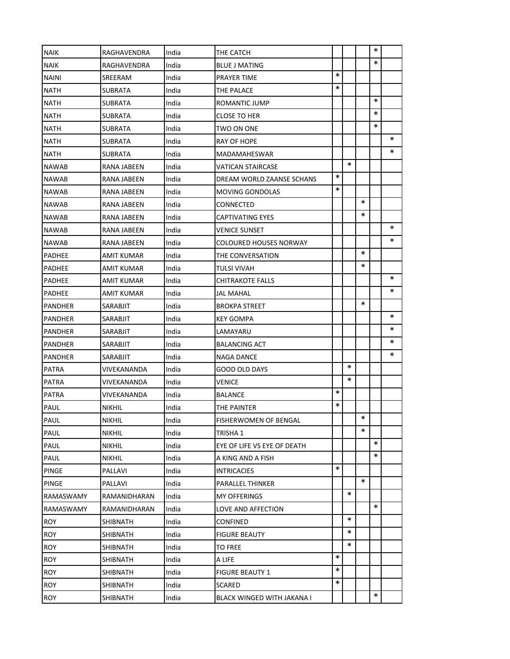| <b>NAIK</b>   | RAGHAVENDRA       | India | THE CATCH                     |        |        |        | *      |        |
|---------------|-------------------|-------|-------------------------------|--------|--------|--------|--------|--------|
| <b>NAIK</b>   | RAGHAVENDRA       | India | <b>BLUE J MATING</b>          |        |        |        | $\ast$ |        |
| <b>NAINI</b>  | SREERAM           | India | <b>PRAYER TIME</b>            | $\ast$ |        |        |        |        |
| <b>NATH</b>   | SUBRATA           | India | THE PALACE                    | $\ast$ |        |        |        |        |
| <b>NATH</b>   | <b>SUBRATA</b>    | India | ROMANTIC JUMP                 |        |        |        | $\ast$ |        |
| NATH          | SUBRATA           | India | CLOSE TO HER                  |        |        |        | $\ast$ |        |
| <b>NATH</b>   | <b>SUBRATA</b>    | India | TWO ON ONE                    |        |        |        | *      |        |
| <b>NATH</b>   | SUBRATA           | India | RAY OF HOPE                   |        |        |        |        | $\ast$ |
| <b>NATH</b>   | <b>SUBRATA</b>    | India | MADAMAHESWAR                  |        |        |        |        | $\ast$ |
| <b>NAWAB</b>  | RANA JABEEN       | India | VATICAN STAIRCASE             |        | $\ast$ |        |        |        |
| <b>NAWAB</b>  | RANA JABEEN       | India | DREAM WORLD ZAANSE SCHANS     | $\ast$ |        |        |        |        |
| <b>NAWAB</b>  | RANA JABEEN       | India | <b>MOVING GONDOLAS</b>        | $\ast$ |        |        |        |        |
| <b>NAWAB</b>  | RANA JABEEN       | India | CONNECTED                     |        |        | ∗      |        |        |
| <b>NAWAB</b>  | RANA JABEEN       | India | <b>CAPTIVATING EYES</b>       |        |        | *      |        |        |
| <b>NAWAB</b>  | RANA JABEEN       | India | VENICE SUNSET                 |        |        |        |        | $\ast$ |
| <b>NAWAB</b>  | RANA JABEEN       | India | <b>COLOURED HOUSES NORWAY</b> |        |        |        |        | ∗      |
| PADHEE        | AMIT KUMAR        | India | THE CONVERSATION              |        |        | $\ast$ |        |        |
| <b>PADHEE</b> | <b>AMIT KUMAR</b> | India | TULSI VIVAH                   |        |        | ∗      |        |        |
| <b>PADHEE</b> | AMIT KUMAR        | India | CHITRAKOTE FALLS              |        |        |        |        | ∗      |
| PADHEE        | AMIT KUMAR        | India | JAL MAHAL                     |        |        |        |        | *      |
| PANDHER       | SARABJIT          | India | BROKPA STREET                 |        |        | *      |        |        |
| PANDHER       | SARABJIT          | India | KEY GOMPA                     |        |        |        |        | ∗      |
| PANDHER       | SARABJIT          | India | LAMAYARU                      |        |        |        |        | ∗      |
| PANDHER       | SARABJIT          | India | BALANCING ACT                 |        |        |        |        | $\ast$ |
| PANDHER       | SARABJIT          | India | NAGA DANCE                    |        |        |        |        | ∗      |
| <b>PATRA</b>  | VIVEKANANDA       | India | GOOD OLD DAYS                 |        | $\ast$ |        |        |        |
| <b>PATRA</b>  | VIVEKANANDA       | India | VENICE                        |        | $\ast$ |        |        |        |
| PATRA         | VIVEKANANDA       | India | <b>BALANCE</b>                | $\ast$ |        |        |        |        |
| PAUL          | <b>NIKHIL</b>     | India | THE PAINTER                   | $\ast$ |        |        |        |        |
| <b>PAUL</b>   | NIKHIL            | India | FISHERWOMEN OF BENGAL         |        |        | $\ast$ |        |        |
| PAUL          | <b>NIKHIL</b>     | India | TRISHA 1                      |        |        | $\ast$ |        |        |
| PAUL          | NIKHIL            | India | EYE OF LIFE VS EYE OF DEATH   |        |        |        | $\ast$ |        |
| PAUL          | <b>NIKHIL</b>     | India | A KING AND A FISH             |        |        |        | $\ast$ |        |
| <b>PINGE</b>  | PALLAVI           | India | <b>INTRICACIES</b>            | $\ast$ |        |        |        |        |
| PINGE         | PALLAVI           | India | PARALLEL THINKER              |        |        | $\ast$ |        |        |
| RAMASWAMY     | RAMANIDHARAN      | India | MY OFFERINGS                  |        | $\ast$ |        |        |        |
| RAMASWAMY     | RAMANIDHARAN      | India | LOVE AND AFFECTION            |        |        |        | $\ast$ |        |
| <b>ROY</b>    | SHIBNATH          | India | CONFINED                      |        | $\ast$ |        |        |        |
| <b>ROY</b>    | SHIBNATH          | India | FIGURE BEAUTY                 |        | $\ast$ |        |        |        |
| <b>ROY</b>    | SHIBNATH          | India | TO FREE                       |        | $\ast$ |        |        |        |
| <b>ROY</b>    | SHIBNATH          | India | A LIFE                        | $\ast$ |        |        |        |        |
| ROY           | SHIBNATH          | India | <b>FIGURE BEAUTY 1</b>        | $\ast$ |        |        |        |        |
| <b>ROY</b>    | SHIBNATH          | India | SCARED                        | $\ast$ |        |        |        |        |
| ROY           | SHIBNATH          | India | BLACK WINGED WITH JAKANA I    |        |        |        | $\ast$ |        |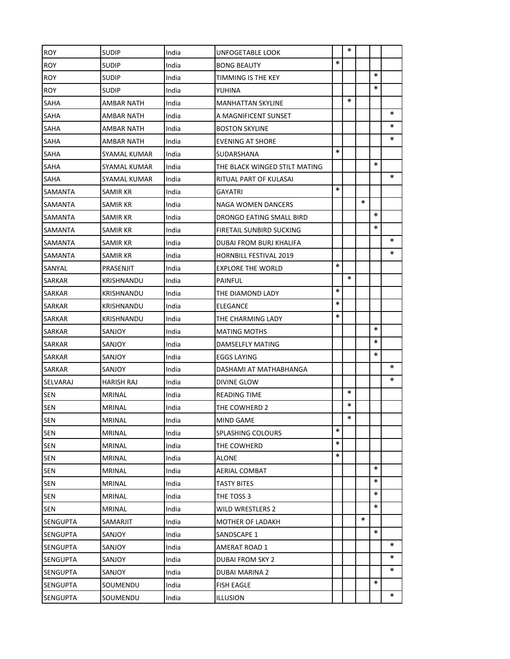| <b>ROY</b>      | SUDIP         | India | UNFOGETABLE LOOK                |        | $\ast$ |        |        |        |
|-----------------|---------------|-------|---------------------------------|--------|--------|--------|--------|--------|
| <b>ROY</b>      | SUDIP         | India | <b>BONG BEAUTY</b>              | $\ast$ |        |        |        |        |
| <b>ROY</b>      | <b>SUDIP</b>  | India | TIMMING IS THE KEY              |        |        |        | $\ast$ |        |
| <b>ROY</b>      | <b>SUDIP</b>  | India | YUHINA                          |        |        |        | $\ast$ |        |
| <b>SAHA</b>     | AMBAR NATH    | India | <b>MANHATTAN SKYLINE</b>        |        | $\ast$ |        |        |        |
| <b>SAHA</b>     | AMBAR NATH    | India | A MAGNIFICENT SUNSET            |        |        |        |        | $\ast$ |
| <b>SAHA</b>     | AMBAR NATH    | India | <b>BOSTON SKYLINE</b>           |        |        |        |        | ∗      |
| SAHA            | AMBAR NATH    | India | EVENING AT SHORE                |        |        |        |        | $\ast$ |
| <b>SAHA</b>     | SYAMAL KUMAR  | India | SUDARSHANA                      | $\ast$ |        |        |        |        |
| <b>SAHA</b>     | SYAMAL KUMAR  | India | THE BLACK WINGED STILT MATING   |        |        |        | $\ast$ |        |
| <b>SAHA</b>     | SYAMAL KUMAR  | India | RITUAL PART OF KULASAI          |        |        |        |        | ∗      |
| <b>SAMANTA</b>  | SAMIR KR      | India | GAYATRI                         | $\ast$ |        |        |        |        |
| <b>SAMANTA</b>  | SAMIR KR      | India | NAGA WOMEN DANCERS              |        |        | $\ast$ |        |        |
| <b>SAMANTA</b>  | SAMIR KR      | India | DRONGO EATING SMALL BIRD        |        |        |        | $\ast$ |        |
| <b>SAMANTA</b>  | SAMIR KR      | India | <b>FIRETAIL SUNBIRD SUCKING</b> |        |        |        | $\ast$ |        |
| <b>SAMANTA</b>  | SAMIR KR      | India | DUBAI FROM BURJ KHALIFA         |        |        |        |        | $\ast$ |
| <b>SAMANTA</b>  | SAMIR KR      | India | <b>HORNBILL FESTIVAL 2019</b>   |        |        |        |        | ∗      |
| SANYAL          | PRASENJIT     | India | <b>EXPLORE THE WORLD</b>        | $\ast$ |        |        |        |        |
| <b>SARKAR</b>   | KRISHNANDU    | India | <b>PAINFUL</b>                  |        | $\ast$ |        |        |        |
| <b>SARKAR</b>   | KRISHNANDU    | India | THE DIAMOND LADY                | $\ast$ |        |        |        |        |
| <b>SARKAR</b>   | KRISHNANDU    | India | <b>ELEGANCE</b>                 | $\ast$ |        |        |        |        |
| <b>SARKAR</b>   | KRISHNANDU    | India | THE CHARMING LADY               | $\ast$ |        |        |        |        |
| <b>SARKAR</b>   | SANJOY        | India | <b>MATING MOTHS</b>             |        |        |        | $\ast$ |        |
| <b>SARKAR</b>   | SANJOY        | India | DAMSELFLY MATING                |        |        |        | $\ast$ |        |
| <b>SARKAR</b>   | SANJOY        | India | <b>EGGS LAYING</b>              |        |        |        | $\ast$ |        |
| <b>SARKAR</b>   | SANJOY        | India | DASHAMI AT MATHABHANGA          |        |        |        |        | ∗      |
| SELVARAJ        | HARISH RAJ    | India | DIVINE GLOW                     |        |        |        |        | ∗      |
| <b>SEN</b>      | <b>MRINAL</b> | India | <b>READING TIME</b>             |        | $\ast$ |        |        |        |
| <b>SEN</b>      | <b>MRINAL</b> | India | THE COWHERD 2                   |        | $\ast$ |        |        |        |
| <b>SEN</b>      | <b>MRINAL</b> | India | <b>MIND GAME</b>                |        | $\ast$ |        |        |        |
| <b>SEN</b>      | MRINAL        | India | <b>SPLASHING COLOURS</b>        | $\ast$ |        |        |        |        |
| <b>SEN</b>      | MRINAL        | India | THE COWHERD                     | $\ast$ |        |        |        |        |
| <b>SEN</b>      | MRINAL        | India | <b>ALONE</b>                    | $\ast$ |        |        |        |        |
| <b>SEN</b>      | MRINAL        | India | AERIAL COMBAT                   |        |        |        | $\ast$ |        |
| <b>SEN</b>      | MRINAL        | India | <b>TASTY BITES</b>              |        |        |        | *      |        |
| <b>SEN</b>      | MRINAL        | India | THE TOSS 3                      |        |        |        | *      |        |
| <b>SEN</b>      | MRINAL        | India | WILD WRESTLERS 2                |        |        |        | $\ast$ |        |
| <b>SENGUPTA</b> | SAMARJIT      | India | <b>MOTHER OF LADAKH</b>         |        |        | $\ast$ |        |        |
| <b>SENGUPTA</b> | SANJOY        | India | SANDSCAPE 1                     |        |        |        | *      |        |
| <b>SENGUPTA</b> | SANJOY        | India | AMERAT ROAD 1                   |        |        |        |        | *      |
| <b>SENGUPTA</b> | SANJOY        | India | DUBAI FROM SKY 2                |        |        |        |        | ∗      |
| <b>SENGUPTA</b> | SANJOY        | India | <b>DUBAI MARINA 2</b>           |        |        |        |        | ∗      |
| <b>SENGUPTA</b> | SOUMENDU      | India | <b>FISH EAGLE</b>               |        |        |        | $\ast$ |        |
| <b>SENGUPTA</b> | SOUMENDU      | India | <b>ILLUSION</b>                 |        |        |        |        | ∗      |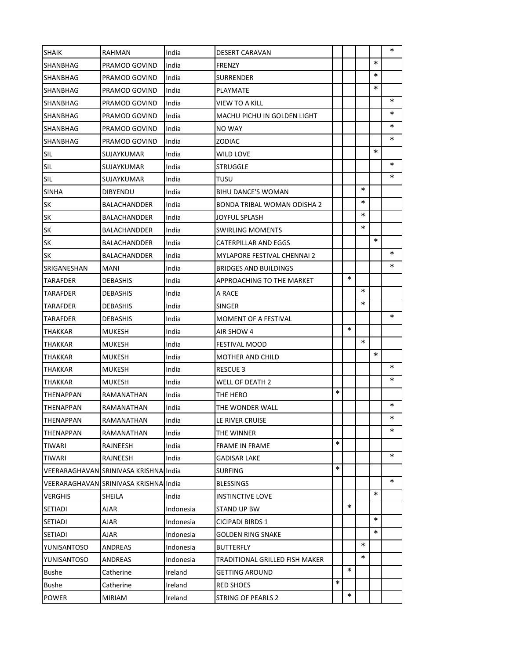| <b>SHAIK</b>       | <b>RAHMAN</b>                         | India     | <b>DESERT CARAVAN</b>          |        |        |        |        | ∗      |
|--------------------|---------------------------------------|-----------|--------------------------------|--------|--------|--------|--------|--------|
|                    |                                       | India     |                                |        |        |        | $\ast$ |        |
| SHANBHAG           | PRAMOD GOVIND                         |           | FRENZY                         |        |        |        | $\ast$ |        |
| <b>SHANBHAG</b>    | PRAMOD GOVIND                         | India     | SURRENDER                      |        |        |        | $\ast$ |        |
| SHANBHAG           | PRAMOD GOVIND<br>PRAMOD GOVIND        | India     | PLAYMATE                       |        |        |        |        | *      |
| <b>SHANBHAG</b>    |                                       | India     | VIEW TO A KILL                 |        |        |        |        | ∗      |
| ISHANBHAG          | PRAMOD GOVIND                         | India     | MACHU PICHU IN GOLDEN LIGHT    |        |        |        |        | *      |
| <b>SHANBHAG</b>    | PRAMOD GOVIND                         | India     | <b>NO WAY</b>                  |        |        |        |        | *      |
| SHANBHAG           | PRAMOD GOVIND                         | India     | ZODIAC                         |        |        |        | $\ast$ |        |
| SIL                | SUJAYKUMAR                            | India     | WILD LOVE                      |        |        |        |        | $\ast$ |
| <b>SIL</b>         | SUJAYKUMAR                            | India     | <b>STRUGGLE</b>                |        |        |        |        | *      |
| <b>SIL</b>         | SUJAYKUMAR                            | India     | TUSU                           |        |        | $\ast$ |        |        |
| <b>SINHA</b>       | <b>DIBYENDU</b>                       | India     | BIHU DANCE'S WOMAN             |        |        |        |        |        |
| <b>SK</b>          | <b>BALACHANDDER</b>                   | India     | BONDA TRIBAL WOMAN ODISHA 2    |        |        | *      |        |        |
| <b>SK</b>          | <b>BALACHANDDER</b>                   | India     | JOYFUL SPLASH                  |        |        | $\ast$ |        |        |
| SK                 | BALACHANDDER                          | India     | SWIRLING MOMENTS               |        |        | $\ast$ |        |        |
| SK                 | <b>BALACHANDDER</b>                   | India     | CATERPILLAR AND EGGS           |        |        |        | $\ast$ |        |
| SK                 | BALACHANDDER                          | India     | MYLAPORE FESTIVAL CHENNAI 2    |        |        |        |        | *      |
| SRIGANESHAN        | <b>MANI</b>                           | India     | BRIDGES AND BUILDINGS          |        |        |        |        | *      |
| TARAFDER           | <b>DEBASHIS</b>                       | India     | APPROACHING TO THE MARKET      |        | $\ast$ |        |        |        |
| TARAFDER           | <b>DEBASHIS</b>                       | India     | A RACE                         |        |        | *      |        |        |
| <b>TARAFDER</b>    | DEBASHIS                              | India     | <b>SINGER</b>                  |        |        | $\ast$ |        |        |
| <b>TARAFDER</b>    | DEBASHIS                              | India     | MOMENT OF A FESTIVAL           |        |        |        |        | $\ast$ |
| THAKKAR            | <b>MUKESH</b>                         | India     | AIR SHOW 4                     |        | $\ast$ |        |        |        |
| <b>THAKKAR</b>     | MUKESH                                | India     | FESTIVAL MOOD                  |        |        | $\ast$ |        |        |
| <b>THAKKAR</b>     | <b>MUKESH</b>                         | India     | MOTHER AND CHILD               |        |        |        | $\ast$ |        |
| THAKKAR            | <b>MUKESH</b>                         | India     | RESCUE 3                       |        |        |        |        | *      |
| THAKKAR            | <b>MUKESH</b>                         | India     | WELL OF DEATH 2                |        |        |        |        | *      |
| THENAPPAN          | RAMANATHAN                            | India     | THE HERO                       | $\ast$ |        |        |        |        |
| <b>THENAPPAN</b>   | RAMANATHAN                            | India     | THE WONDER WALL                |        |        |        |        | *      |
| <b>THENAPPAN</b>   | RAMANATHAN                            | India     | LE RIVER CRUISE                |        |        |        |        | $\ast$ |
| <b>THENAPPAN</b>   | RAMANATHAN                            | India     | THE WINNER                     |        |        |        |        | ∗      |
| <b>TIWARI</b>      | RAJNEESH                              | India     | FRAME IN FRAME                 | $\ast$ |        |        |        |        |
| <b>TIWARI</b>      | RAJNEESH                              | India     | <b>GADISAR LAKE</b>            |        |        |        |        | *      |
|                    | VEERARAGHAVAN SRINIVASA KRISHNA India |           | SURFING                        | *      |        |        |        |        |
|                    | VEERARAGHAVAN SRINIVASA KRISHNA India |           | BLESSINGS                      |        |        |        |        | $\ast$ |
| <b>VERGHIS</b>     | SHEILA                                | India     | INSTINCTIVE LOVE               |        |        |        | $\ast$ |        |
| <b>SETIADI</b>     | AJAR                                  | Indonesia | STAND UP BW                    |        | $\ast$ |        |        |        |
| <b>SETIADI</b>     | AJAR                                  | Indonesia | <b>CICIPADI BIRDS 1</b>        |        |        |        | $\ast$ |        |
| SETIADI            | AJAR                                  | Indonesia | GOLDEN RING SNAKE              |        |        |        | $\ast$ |        |
| <b>YUNISANTOSO</b> | ANDREAS                               | Indonesia | BUTTERFLY                      |        |        | *      |        |        |
| YUNISANTOSO        | ANDREAS                               | Indonesia | TRADITIONAL GRILLED FISH MAKER |        |        | *      |        |        |
| <b>Bushe</b>       | Catherine                             | Ireland   | GETTING AROUND                 |        | $\ast$ |        |        |        |
| Bushe              | Catherine                             | Ireland   | RED SHOES                      | *      |        |        |        |        |
| <b>POWER</b>       | <b>MIRIAM</b>                         | Ireland   | STRING OF PEARLS 2             |        | ∗      |        |        |        |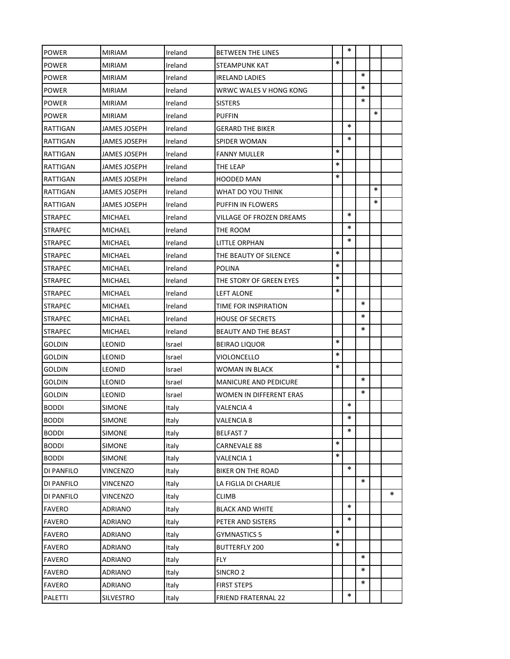| <b>POWER</b>   | <b>MIRIAM</b>  | Ireland | BETWEEN THE LINES            |        | $\ast$ |        |        |        |
|----------------|----------------|---------|------------------------------|--------|--------|--------|--------|--------|
| <b>POWER</b>   | <b>MIRIAM</b>  | Ireland | STEAMPUNK KAT                | $\ast$ |        |        |        |        |
| <b>POWER</b>   | <b>MIRIAM</b>  | Ireland | <b>IRELAND LADIES</b>        |        |        | ∗      |        |        |
| <b>POWER</b>   | <b>MIRIAM</b>  | Ireland | WRWC WALES V HONG KONG       |        |        | $\ast$ |        |        |
| <b>POWER</b>   | <b>MIRIAM</b>  | Ireland | <b>SISTERS</b>               |        |        | $\ast$ |        |        |
| <b>POWER</b>   | <b>MIRIAM</b>  | Ireland | PUFFIN                       |        |        |        | $\ast$ |        |
| RATTIGAN       | JAMES JOSEPH   | Ireland | GERARD THE BIKER             |        | $\ast$ |        |        |        |
| RATTIGAN       | JAMES JOSEPH   | Ireland | SPIDER WOMAN                 |        | $\ast$ |        |        |        |
| RATTIGAN       | JAMES JOSEPH   | Ireland | <b>FANNY MULLER</b>          | *      |        |        |        |        |
| RATTIGAN       | JAMES JOSEPH   | Ireland | THE LEAP                     | $\ast$ |        |        |        |        |
| RATTIGAN       | JAMES JOSEPH   | Ireland | HOODED MAN                   | *      |        |        |        |        |
| RATTIGAN       | JAMES JOSEPH   | Ireland | WHAT DO YOU THINK            |        |        |        | $\ast$ |        |
| RATTIGAN       | JAMES JOSEPH   | Ireland | PUFFIN IN FLOWERS            |        |        |        | ∗      |        |
| <b>STRAPEC</b> | MICHAEL        | Ireland | VILLAGE OF FROZEN DREAMS     |        | $\ast$ |        |        |        |
| <b>STRAPEC</b> | MICHAEL        | Ireland | THE ROOM                     |        | $\ast$ |        |        |        |
| <b>STRAPEC</b> | MICHAEL        | Ireland | LITTLE ORPHAN                |        | $\ast$ |        |        |        |
| <b>STRAPEC</b> | <b>MICHAEL</b> | Ireland | THE BEAUTY OF SILENCE        | $\ast$ |        |        |        |        |
| <b>STRAPEC</b> | MICHAEL        | Ireland | POLINA                       | $\ast$ |        |        |        |        |
| <b>STRAPEC</b> | MICHAEL        | Ireland | THE STORY OF GREEN EYES      | $\ast$ |        |        |        |        |
| <b>STRAPEC</b> | MICHAEL        | Ireland | LEFT ALONE                   | *      |        |        |        |        |
| <b>STRAPEC</b> | MICHAEL        | Ireland | TIME FOR INSPIRATION         |        |        | *      |        |        |
| <b>STRAPEC</b> | MICHAEL        | Ireland | <b>HOUSE OF SECRETS</b>      |        |        | *      |        |        |
| <b>STRAPEC</b> | MICHAEL        | Ireland | BEAUTY AND THE BEAST         |        |        | *      |        |        |
| <b>GOLDIN</b>  | <b>LEONID</b>  | Israel  | <b>BEIRAO LIQUOR</b>         | $\ast$ |        |        |        |        |
| <b>GOLDIN</b>  | <b>LEONID</b>  | Israel  | VIOLONCELLO                  | $\ast$ |        |        |        |        |
| <b>GOLDIN</b>  | <b>LEONID</b>  | Israel  | WOMAN IN BLACK               | *      |        |        |        |        |
| <b>GOLDIN</b>  | <b>LEONID</b>  | Israel  | <b>MANICURE AND PEDICURE</b> |        |        | $\ast$ |        |        |
| <b>GOLDIN</b>  | <b>LEONID</b>  | Israel  | WOMEN IN DIFFERENT ERAS      |        |        | $\ast$ |        |        |
| <b>BODDI</b>   | <b>SIMONE</b>  | Italy   | VALENCIA 4                   |        | $\ast$ |        |        |        |
| <b>BODDI</b>   | SIMONE         | Italy   | VALENCIA 8                   |        | $\ast$ |        |        |        |
| <b>BODDI</b>   | <b>SIMONE</b>  | Italy   | <b>BELFAST 7</b>             |        | $\ast$ |        |        |        |
| <b>BODDI</b>   | <b>SIMONE</b>  | Italy   | CARNEVALE 88                 | $\ast$ |        |        |        |        |
| <b>BODDI</b>   | <b>SIMONE</b>  | Italy   | VALENCIA 1                   | *      |        |        |        |        |
| DI PANFILO     | VINCENZO       | Italy   | BIKER ON THE ROAD            |        | $\ast$ |        |        |        |
| DI PANFILO     | VINCENZO       | Italy   | LA FIGLIA DI CHARLIE         |        |        | ∗      |        |        |
| DI PANFILO     | VINCENZO       | Italy   | CLIMB                        |        |        |        |        | $\ast$ |
| <b>FAVERO</b>  | ADRIANO        | Italy   | <b>BLACK AND WHITE</b>       |        | $\ast$ |        |        |        |
| <b>FAVERO</b>  | ADRIANO        | Italy   | PETER AND SISTERS            |        | *      |        |        |        |
| <b>FAVERO</b>  | ADRIANO        | Italy   | GYMNASTICS 5                 | *      |        |        |        |        |
| <b>FAVERO</b>  | ADRIANO        | Italy   | <b>BUTTERFLY 200</b>         | *      |        |        |        |        |
| <b>FAVERO</b>  | ADRIANO        | Italy   | FLY                          |        |        | $\ast$ |        |        |
| <b>FAVERO</b>  | ADRIANO        | Italy   | SINCRO <sub>2</sub>          |        |        | $\ast$ |        |        |
| <b>FAVERO</b>  | ADRIANO        | Italy   | <b>FIRST STEPS</b>           |        |        | $\ast$ |        |        |
| PALETTI        | SILVESTRO      | Italy   | FRIEND FRATERNAL 22          |        | $\ast$ |        |        |        |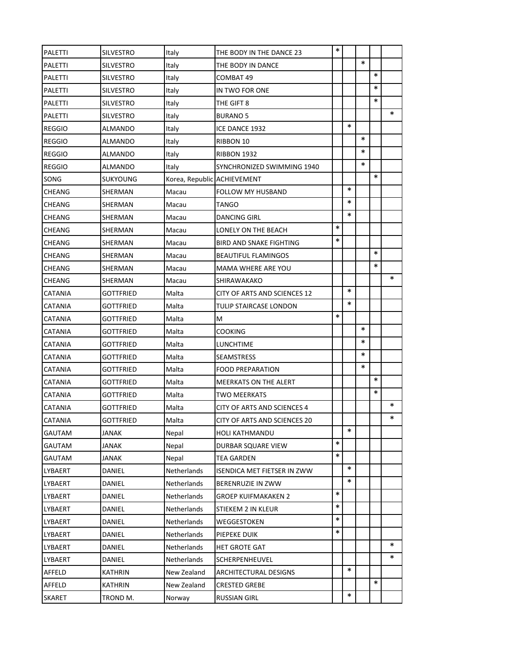| PALETTI        | SILVESTRO        | Italy                       | THE BODY IN THE DANCE 23           | $\ast$ |        |        |        |        |
|----------------|------------------|-----------------------------|------------------------------------|--------|--------|--------|--------|--------|
| PALETTI        | SILVESTRO        | Italy                       | THE BODY IN DANCE                  |        |        | $\ast$ |        |        |
| PALETTI        | <b>SILVESTRO</b> | Italy                       | COMBAT 49                          |        |        |        | $\ast$ |        |
| PALETTI        | <b>SILVESTRO</b> | Italy                       | IN TWO FOR ONE                     |        |        |        | $\ast$ |        |
| PALETTI        | <b>SILVESTRO</b> | Italy                       | THE GIFT 8                         |        |        |        | $\ast$ |        |
| PALETTI        | SILVESTRO        | Italy                       | <b>BURANO 5</b>                    |        |        |        |        | *      |
| <b>REGGIO</b>  | ALMANDO          | Italy                       | ICE DANCE 1932                     |        | $\ast$ |        |        |        |
| <b>REGGIO</b>  | ALMANDO          | Italy                       | RIBBON 10                          |        |        | $\ast$ |        |        |
| <b>REGGIO</b>  | ALMANDO          | Italy                       | <b>RIBBON 1932</b>                 |        |        | $\ast$ |        |        |
| <b>REGGIO</b>  | ALMANDO          | Italy                       | SYNCHRONIZED SWIMMING 1940         |        |        | $\ast$ |        |        |
| SONG           | <b>SUKYOUNG</b>  | Korea, Republic ACHIEVEMENT |                                    |        |        |        | $\ast$ |        |
| <b>CHEANG</b>  | SHERMAN          | Macau                       | FOLLOW MY HUSBAND                  |        | $\ast$ |        |        |        |
| CHEANG         | SHERMAN          | Macau                       | TANGO                              |        | $\ast$ |        |        |        |
| <b>CHEANG</b>  | SHERMAN          | Macau                       | <b>DANCING GIRL</b>                |        | $\ast$ |        |        |        |
| <b>CHEANG</b>  | SHERMAN          | Macau                       | LONELY ON THE BEACH                | $\ast$ |        |        |        |        |
| <b>CHEANG</b>  | SHERMAN          | Macau                       | <b>BIRD AND SNAKE FIGHTING</b>     | *      |        |        |        |        |
| <b>CHEANG</b>  | SHERMAN          | Macau                       | <b>BEAUTIFUL FLAMINGOS</b>         |        |        |        | $\ast$ |        |
| <b>CHEANG</b>  | SHERMAN          | Macau                       | MAMA WHERE ARE YOU                 |        |        |        | $\ast$ |        |
| <b>CHEANG</b>  | SHERMAN          | Macau                       | SHIRAWAKAKO                        |        |        |        |        | $\ast$ |
| <b>CATANIA</b> | <b>GOTTFRIED</b> | Malta                       | CITY OF ARTS AND SCIENCES 12       |        | ∗      |        |        |        |
| CATANIA        | GOTTFRIED        | Malta                       | TULIP STAIRCASE LONDON             |        | $\ast$ |        |        |        |
| CATANIA        | <b>GOTTFRIED</b> | Malta                       | M                                  | $\ast$ |        |        |        |        |
| <b>CATANIA</b> | <b>GOTTFRIED</b> | Malta                       | COOKING                            |        |        | $\ast$ |        |        |
| <b>CATANIA</b> | GOTTFRIED        | Malta                       | LUNCHTIME                          |        |        | *      |        |        |
| <b>CATANIA</b> | GOTTFRIED        | Malta                       | SEAMSTRESS                         |        |        | $\ast$ |        |        |
| <b>CATANIA</b> | GOTTFRIED        | Malta                       | FOOD PREPARATION                   |        |        | $\ast$ |        |        |
| <b>CATANIA</b> | GOTTFRIED        | Malta                       | <b>MEERKATS ON THE ALERT</b>       |        |        |        | $\ast$ |        |
| <b>CATANIA</b> | <b>GOTTFRIED</b> | Malta                       | TWO MEERKATS                       |        |        |        | $\ast$ |        |
| <b>CATANIA</b> | <b>GOTTFRIED</b> | Malta                       | <b>CITY OF ARTS AND SCIENCES 4</b> |        |        |        |        | *      |
| CATANIA        | GOTTFRIED        | Malta                       | CITY OF ARTS AND SCIENCES 20       |        |        |        |        | *      |
| GAUTAM         | <b>JANAK</b>     | Nepal                       | HOLI KATHMANDU                     |        | $\ast$ |        |        |        |
| GAUTAM         | JANAK            | Nepal                       | DURBAR SQUARE VIEW                 | $\ast$ |        |        |        |        |
| GAUTAM         | <b>JANAK</b>     | Nepal                       | TEA GARDEN                         | *      |        |        |        |        |
| LYBAERT        | DANIEL           | Netherlands                 | ISENDICA MET FIETSER IN ZWW        |        | $\ast$ |        |        |        |
| LYBAERT        | DANIEL           | <b>Netherlands</b>          | BERENRUZIE IN ZWW                  |        | *      |        |        |        |
| LYBAERT        | DANIEL           | Netherlands                 | GROEP KUIFMAKAKEN 2                | *      |        |        |        |        |
| LYBAERT        | DANIEL           | Netherlands                 | STIEKEM 2 IN KLEUR                 | *      |        |        |        |        |
| LYBAERT        | DANIEL           | Netherlands                 | WEGGESTOKEN                        | $\ast$ |        |        |        |        |
| LYBAERT        | DANIEL           | Netherlands                 | PIEPEKE DUIK                       | $\ast$ |        |        |        |        |
| LYBAERT        | DANIEL           | Netherlands                 | HET GROTE GAT                      |        |        |        |        | ∗      |
| LYBAERT        | DANIEL           | Netherlands                 | SCHERPENHEUVEL                     |        |        |        |        | ∗      |
| AFFELD         | KATHRIN          | New Zealand                 | ARCHITECTURAL DESIGNS              |        | $\ast$ |        |        |        |
| AFFELD         | KATHRIN          | New Zealand                 | <b>CRESTED GREBE</b>               |        |        |        | *      |        |
| <b>SKARET</b>  | TROND M.         | Norway                      | RUSSIAN GIRL                       |        | ∗      |        |        |        |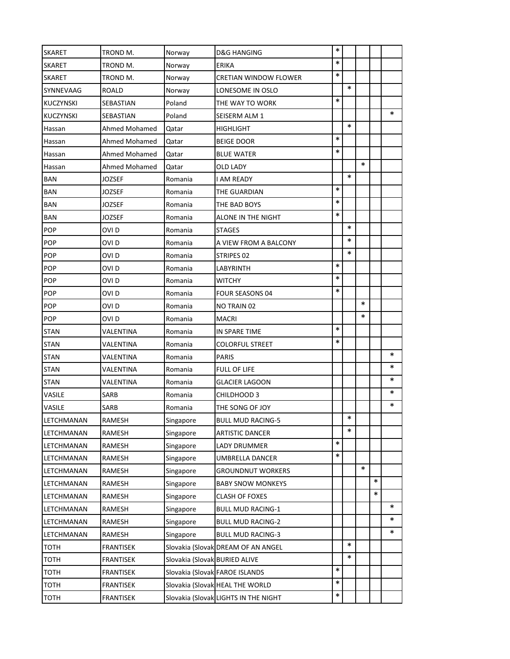| <b>SKARET</b>    | TROND M.         | Norway                        | D&G HANGING                          | ∗      |        |        |        |        |
|------------------|------------------|-------------------------------|--------------------------------------|--------|--------|--------|--------|--------|
| <b>SKARET</b>    | TROND M.         | Norway                        | ERIKA                                | $\ast$ |        |        |        |        |
| <b>SKARET</b>    | TROND M.         | Norway                        | CRETIAN WINDOW FLOWER                | $\ast$ |        |        |        |        |
| SYNNEVAAG        | ROALD            | Norway                        | LONESOME IN OSLO                     |        | $\ast$ |        |        |        |
| KUCZYNSKI        | SEBASTIAN        | Poland                        | THE WAY TO WORK                      | $\ast$ |        |        |        |        |
| <b>KUCZYNSKI</b> | SEBASTIAN        | Poland                        | SEISERM ALM 1                        |        |        |        |        | $\ast$ |
| Hassan           | Ahmed Mohamed    | Qatar                         | HIGHLIGHT                            |        | $\ast$ |        |        |        |
| Hassan           | Ahmed Mohamed    | Qatar                         | BEIGE DOOR                           | $\ast$ |        |        |        |        |
| Hassan           | Ahmed Mohamed    | Qatar                         | BLUE WATER                           | $\ast$ |        |        |        |        |
| Hassan           | Ahmed Mohamed    | Qatar                         | OLD LADY                             |        |        | $\ast$ |        |        |
| <b>BAN</b>       | JOZSEF           | Romania                       | I AM READY                           |        | $\ast$ |        |        |        |
| BAN              | JOZSEF           | Romania                       | THE GUARDIAN                         | $\ast$ |        |        |        |        |
| <b>BAN</b>       | JOZSEF           | Romania                       | THE BAD BOYS                         | $\ast$ |        |        |        |        |
| <b>BAN</b>       | <b>JOZSEF</b>    | Romania                       | ALONE IN THE NIGHT                   | $\ast$ |        |        |        |        |
| <b>POP</b>       | OVI D            | Romania                       | <b>STAGES</b>                        |        | $\ast$ |        |        |        |
| <b>POP</b>       | OVI D            | Romania                       | A VIEW FROM A BALCONY                |        | ∗      |        |        |        |
| POP              | OVI D            | Romania                       | STRIPES 02                           |        | $\ast$ |        |        |        |
| POP              | OVI <sub>D</sub> | Romania                       | LABYRINTH                            | $\ast$ |        |        |        |        |
| POP              | OVI D            | Romania                       | WITCHY                               | $\ast$ |        |        |        |        |
| POP              | OVI D            | Romania                       | <b>FOUR SEASONS 04</b>               | $\ast$ |        |        |        |        |
| POP              | OVI D            | Romania                       | NO TRAIN 02                          |        |        | $\ast$ |        |        |
| <b>POP</b>       | OVI D            | Romania                       | <b>MACRI</b>                         |        |        | ∗      |        |        |
| <b>STAN</b>      | VALENTINA        | Romania                       | IN SPARE TIME                        | $\ast$ |        |        |        |        |
| <b>STAN</b>      | VALENTINA        | Romania                       | COLORFUL STREET                      | $\ast$ |        |        |        |        |
| <b>STAN</b>      | VALENTINA        | Romania                       | PARIS                                |        |        |        |        | ∗      |
| <b>STAN</b>      | VALENTINA        | Romania                       | FULL OF LIFE                         |        |        |        |        | ∗      |
| <b>STAN</b>      | VALENTINA        | Romania                       | <b>GLACIER LAGOON</b>                |        |        |        |        | ∗      |
| VASILE           | SARB             | Romania                       | CHILDHOOD 3                          |        |        |        |        | ∗      |
| VASILE           | SARB             | Romania                       | THE SONG OF JOY                      |        |        |        |        | ∗      |
| LETCHMANAN       | RAMESH           | Singapore                     | <b>BULL MUD RACING-5</b>             |        | $\ast$ |        |        |        |
| LETCHMANAN       | RAMESH           | Singapore                     | <b>ARTISTIC DANCER</b>               |        | *      |        |        |        |
| LETCHMANAN       | RAMESH           | Singapore                     | LADY DRUMMER                         | $\ast$ |        |        |        |        |
| LETCHMANAN       | RAMESH           | Singapore                     | UMBRELLA DANCER                      | $\ast$ |        |        |        |        |
| LETCHMANAN       | RAMESH           | Singapore                     | GROUNDNUT WORKERS                    |        |        | ∗      |        |        |
| LETCHMANAN       | RAMESH           | Singapore                     | <b>BABY SNOW MONKEYS</b>             |        |        |        | $\ast$ |        |
| LETCHMANAN       | RAMESH           | Singapore                     | CLASH OF FOXES                       |        |        |        | $\ast$ |        |
| LETCHMANAN       | RAMESH           | Singapore                     | <b>BULL MUD RACING-1</b>             |        |        |        |        | $\ast$ |
| LETCHMANAN       | RAMESH           | Singapore                     | BULL MUD RACING-2                    |        |        |        |        | ∗      |
| LETCHMANAN       | RAMESH           | Singapore                     | <b>BULL MUD RACING-3</b>             |        |        |        |        | $\ast$ |
| <b>TOTH</b>      | <b>FRANTISEK</b> |                               | Slovakia (Slovak DREAM OF AN ANGEL   |        | *      |        |        |        |
| тотн             | <b>FRANTISEK</b> | Slovakia (Slovak BURIED ALIVE |                                      |        | $\ast$ |        |        |        |
| <b>TOTH</b>      | <b>FRANTISEK</b> |                               | Slovakia (Slovak FAROE ISLANDS       | $\ast$ |        |        |        |        |
| <b>TOTH</b>      | <b>FRANTISEK</b> |                               | Slovakia (Slovak HEAL THE WORLD      | $\ast$ |        |        |        |        |
| <b>TOTH</b>      | <b>FRANTISEK</b> |                               | Slovakia (Slovak LIGHTS IN THE NIGHT | $\ast$ |        |        |        |        |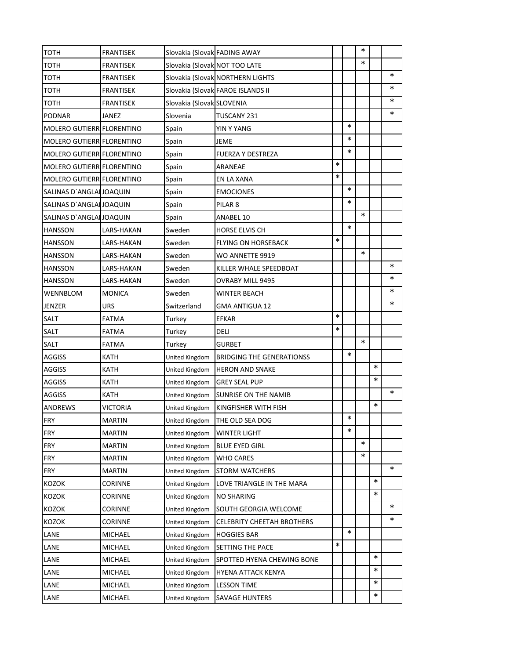| тотн                      | <b>FRANTISEK</b> | Slovakia (Slovak FADING AWAY  |                                   |        |        | ∗      |        |        |
|---------------------------|------------------|-------------------------------|-----------------------------------|--------|--------|--------|--------|--------|
| тотн                      | <b>FRANTISEK</b> | Slovakia (Slovak NOT TOO LATE |                                   |        |        | *      |        |        |
| тотн                      | <b>FRANTISEK</b> |                               | Slovakia (Slovak NORTHERN LIGHTS  |        |        |        |        | $\ast$ |
| тотн                      | <b>FRANTISEK</b> |                               | Slovakia (Slovak FAROE ISLANDS II |        |        |        |        | $\ast$ |
| тотн                      | <b>FRANTISEK</b> | Slovakia (Slovak SLOVENIA     |                                   |        |        |        |        | ∗      |
| <b>PODNAR</b>             | JANEZ            | Slovenia                      | TUSCANY 231                       |        |        |        |        | $\ast$ |
| MOLERO GUTIERR FLORENTINO |                  | Spain                         | YIN Y YANG                        |        | $\ast$ |        |        |        |
| MOLERO GUTIERR FLORENTINO |                  | Spain                         | JEME                              |        | $\ast$ |        |        |        |
| MOLERO GUTIERR FLORENTINO |                  | Spain                         | FUERZA Y DESTREZA                 |        | $\ast$ |        |        |        |
| MOLERO GUTIERR FLORENTINO |                  | Spain                         | ARANEAE                           | $\ast$ |        |        |        |        |
| MOLERO GUTIERR FLORENTINO |                  | Spain                         | EN LA XANA                        | $\ast$ |        |        |        |        |
| SALINAS D'ANGLAI JOAQUIN  |                  | Spain                         | <b>EMOCIONES</b>                  |        | $\ast$ |        |        |        |
| SALINAS D'ANGLAI JOAQUIN  |                  | Spain                         | PILAR <sub>8</sub>                |        | $\ast$ |        |        |        |
| SALINAS D'ANGLAI JOAQUIN  |                  | Spain                         | ANABEL 10                         |        |        | $\ast$ |        |        |
| <b>HANSSON</b>            | LARS-HAKAN       | Sweden                        | <b>HORSE ELVIS CH</b>             |        | $\ast$ |        |        |        |
| <b>HANSSON</b>            | LARS-HAKAN       | Sweden                        | <b>FLYING ON HORSEBACK</b>        | *      |        |        |        |        |
| <b>HANSSON</b>            | LARS-HAKAN       | Sweden                        | WO ANNETTE 9919                   |        |        | $\ast$ |        |        |
| <b>HANSSON</b>            | LARS-HAKAN       | Sweden                        | KILLER WHALE SPEEDBOAT            |        |        |        |        | $\ast$ |
| <b>HANSSON</b>            | LARS-HAKAN       | Sweden                        | OVRABY MILL 9495                  |        |        |        |        | *      |
| WENNBLOM                  | <b>MONICA</b>    | Sweden                        | WINTER BEACH                      |        |        |        |        | *      |
| JENZER                    | URS              | Switzerland                   | GMA ANTIGUA 12                    |        |        |        |        | *      |
| SALT                      | <b>FATMA</b>     | Turkey                        | EFKAR                             | $\ast$ |        |        |        |        |
| <b>SALT</b>               | FATMA            | Turkey                        | deli                              | $\ast$ |        |        |        |        |
| <b>SALT</b>               | <b>FATMA</b>     | Turkey                        | GURBET                            |        |        | $\ast$ |        |        |
| <b>AGGISS</b>             | KATH             | United Kingdom                | <b>BRIDGING THE GENERATIONSS</b>  |        | $\ast$ |        |        |        |
| <b>AGGISS</b>             | KATH             | United Kingdom                | <b>HERON AND SNAKE</b>            |        |        |        | *      |        |
| <b>AGGISS</b>             | KATH             | United Kingdom                | <b>GREY SEAL PUP</b>              |        |        |        | $\ast$ |        |
| <b>AGGISS</b>             | KATH             | United Kingdom                | SUNRISE ON THE NAMIB              |        |        |        |        | $\ast$ |
| <b>ANDREWS</b>            | VICTORIA         | United Kingdom                | KINGFISHER WITH FISH              |        |        |        | $\ast$ |        |
| FRY                       | MARTIN           | United Kingdom                | THE OLD SEA DOG                   |        | $\ast$ |        |        |        |
| <b>FRY</b>                | <b>MARTIN</b>    | United Kingdom                | <b>WINTER LIGHT</b>               |        | *      |        |        |        |
| <b>FRY</b>                | <b>MARTIN</b>    | United Kingdom                | BLUE EYED GIRL                    |        |        | *      |        |        |
| <b>FRY</b>                | <b>MARTIN</b>    | United Kingdom                | <b>WHO CARES</b>                  |        |        | *      |        |        |
| <b>FRY</b>                | <b>MARTIN</b>    | United Kingdom                | <b>STORM WATCHERS</b>             |        |        |        |        | ∗      |
| <b>KOZOK</b>              | <b>CORINNE</b>   | United Kingdom                | LOVE TRIANGLE IN THE MARA         |        |        |        | $\ast$ |        |
| KOZOK                     | CORINNE          | United Kingdom                | NO SHARING                        |        |        |        | $\ast$ |        |
| KOZOK                     | <b>CORINNE</b>   | United Kingdom                | SOUTH GEORGIA WELCOME             |        |        |        |        | *      |
| <b>KOZOK</b>              | <b>CORINNE</b>   | United Kingdom                | CELEBRITY CHEETAH BROTHERS        |        |        |        |        | *      |
| LANE                      | <b>MICHAEL</b>   | United Kingdom                | <b>HOGGIES BAR</b>                |        | $\ast$ |        |        |        |
| LANE                      | <b>MICHAEL</b>   | United Kingdom                | SETTING THE PACE                  | $\ast$ |        |        |        |        |
| LANE                      | <b>MICHAEL</b>   | United Kingdom                | SPOTTED HYENA CHEWING BONE        |        |        |        | *      |        |
| LANE                      | MICHAEL          | United Kingdom                | HYENA ATTACK KENYA                |        |        |        | ∗      |        |
| LANE                      | MICHAEL          | United Kingdom                | <b>LESSON TIME</b>                |        |        |        | ∗      |        |
| LANE                      | <b>MICHAEL</b>   | United Kingdom                | <b>SAVAGE HUNTERS</b>             |        |        |        | *      |        |